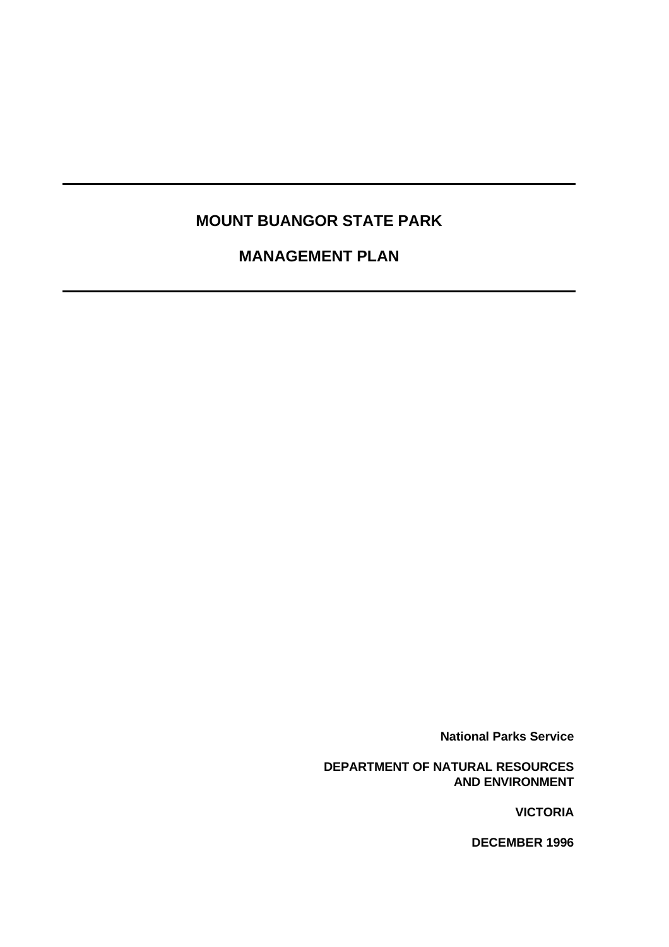# **MOUNT BUANGOR STATE PARK**

# **MANAGEMENT PLAN**

**National Parks Service**

**DEPARTMENT OF NATURAL RESOURCES AND ENVIRONMENT**

**VICTORIA**

**DECEMBER 1996**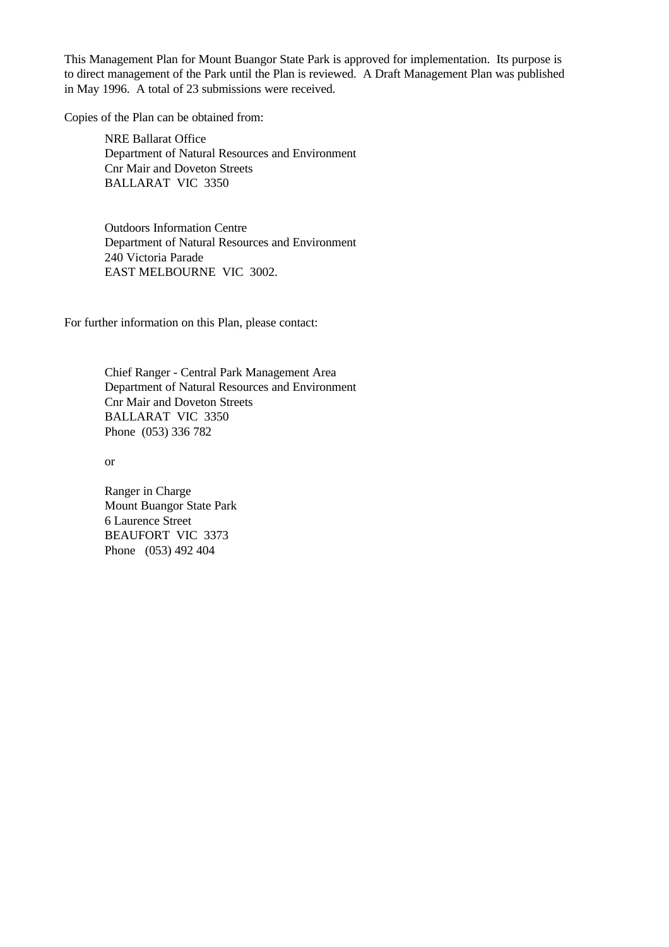This Management Plan for Mount Buangor State Park is approved for implementation. Its purpose is to direct management of the Park until the Plan is reviewed. A Draft Management Plan was published in May 1996. A total of 23 submissions were received.

Copies of the Plan can be obtained from:

NRE Ballarat Office Department of Natural Resources and Environment Cnr Mair and Doveton Streets BALLARAT VIC 3350

Outdoors Information Centre Department of Natural Resources and Environment 240 Victoria Parade EAST MELBOURNE VIC 3002.

For further information on this Plan, please contact:

Chief Ranger - Central Park Management Area Department of Natural Resources and Environment Cnr Mair and Doveton Streets BALLARAT VIC 3350 Phone (053) 336 782

or

Ranger in Charge Mount Buangor State Park 6 Laurence Street BEAUFORT VIC 3373 Phone (053) 492 404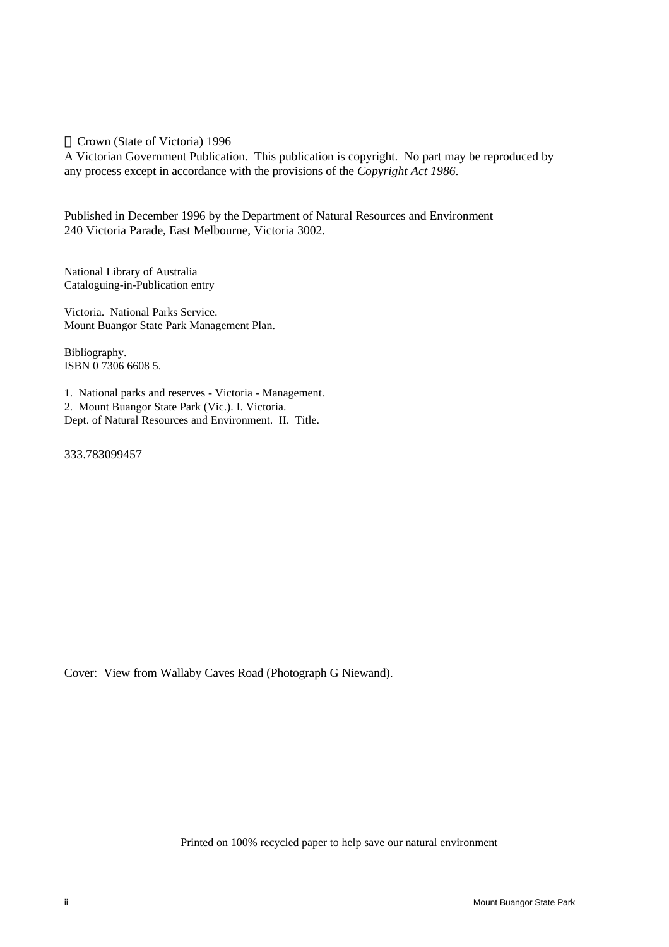Crown (State of Victoria) 1996

A Victorian Government Publication. This publication is copyright. No part may be reproduced by any process except in accordance with the provisions of the *Copyright Act 1986*.

Published in December 1996 by the Department of Natural Resources and Environment 240 Victoria Parade, East Melbourne, Victoria 3002.

National Library of Australia Cataloguing-in-Publication entry

Victoria. National Parks Service. Mount Buangor State Park Management Plan.

Bibliography. ISBN 0 7306 6608 5.

1. National parks and reserves - Victoria - Management.

2. Mount Buangor State Park (Vic.). I. Victoria.

Dept. of Natural Resources and Environment. II. Title.

333.783099457

Cover: View from Wallaby Caves Road (Photograph G Niewand).

Printed on 100% recycled paper to help save our natural environment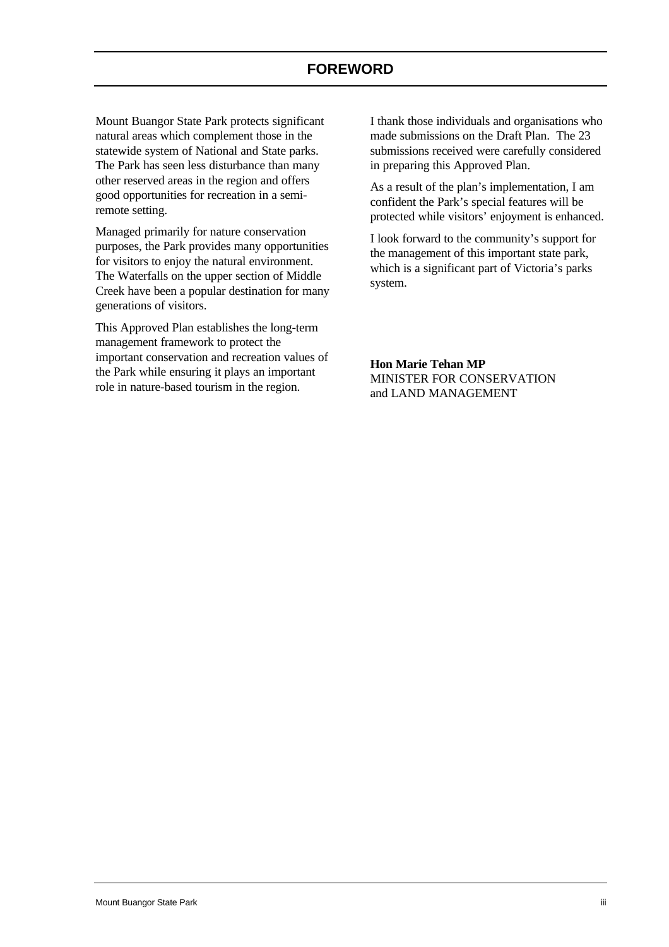<span id="page-3-0"></span>Mount Buangor State Park protects significant natural areas which complement those in the statewide system of National and State parks. The Park has seen less disturbance than many other reserved areas in the region and offers good opportunities for recreation in a semiremote setting.

Managed primarily for nature conservation purposes, the Park provides many opportunities for visitors to enjoy the natural environment. The Waterfalls on the upper section of Middle Creek have been a popular destination for many generations of visitors.

This Approved Plan establishes the long-term management framework to protect the important conservation and recreation values of the Park while ensuring it plays an important role in nature-based tourism in the region.

I thank those individuals and organisations who made submissions on the Draft Plan. The 23 submissions received were carefully considered in preparing this Approved Plan.

As a result of the plan's implementation, I am confident the Park's special features will be protected while visitors' enjoyment is enhanced.

I look forward to the community's support for the management of this important state park, which is a significant part of Victoria's parks system.

**Hon Marie Tehan MP** MINISTER FOR CONSERVATION and LAND MANAGEMENT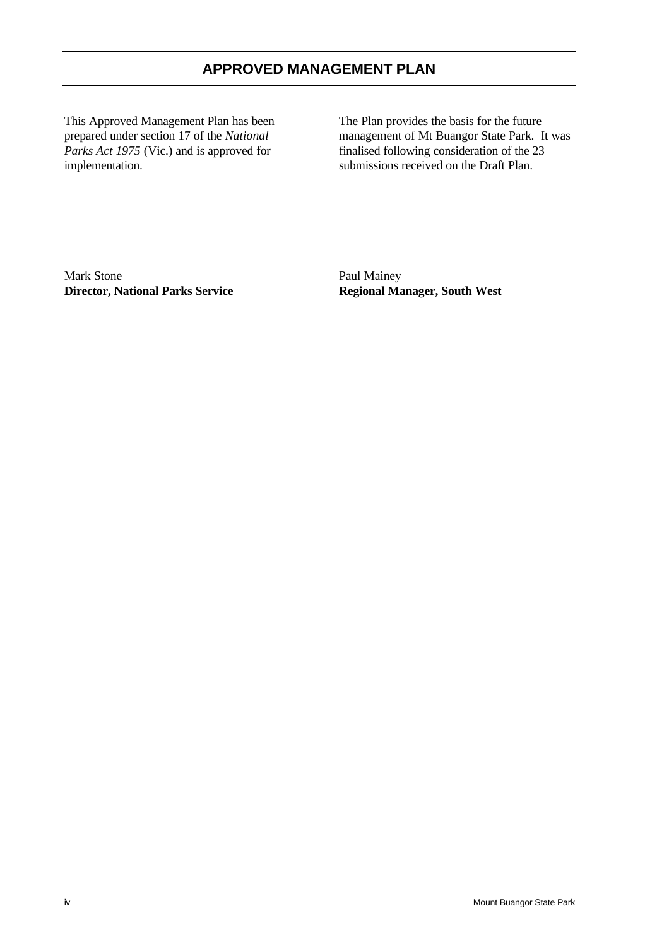This Approved Management Plan has been prepared under section 17 of the *National Parks Act 1975* (Vic.) and is approved for implementation.

The Plan provides the basis for the future management of Mt Buangor State Park. It was finalised following consideration of the 23 submissions received on the Draft Plan.

Mark Stone **Director, National Parks Service**

Paul Mainey **Regional Manager, South West**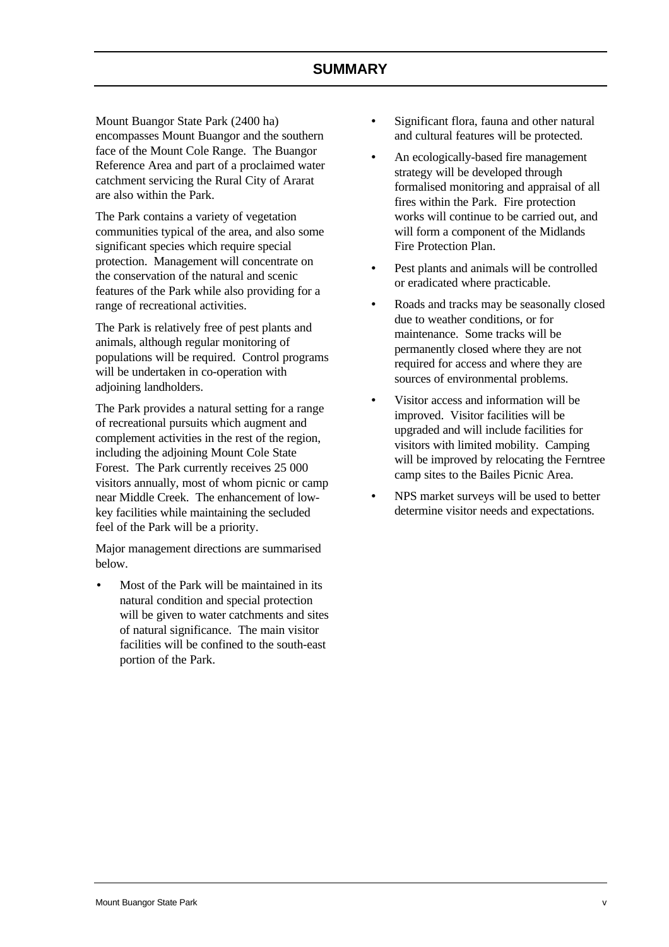<span id="page-5-0"></span>Mount Buangor State Park (2400 ha) encompasses Mount Buangor and the southern face of the Mount Cole Range. The Buangor Reference Area and part of a proclaimed water catchment servicing the Rural City of Ararat are also within the Park.

The Park contains a variety of vegetation communities typical of the area, and also some significant species which require special protection. Management will concentrate on the conservation of the natural and scenic features of the Park while also providing for a range of recreational activities.

The Park is relatively free of pest plants and animals, although regular monitoring of populations will be required. Control programs will be undertaken in co-operation with adjoining landholders.

The Park provides a natural setting for a range of recreational pursuits which augment and complement activities in the rest of the region, including the adjoining Mount Cole State Forest. The Park currently receives 25 000 visitors annually, most of whom picnic or camp near Middle Creek. The enhancement of lowkey facilities while maintaining the secluded feel of the Park will be a priority.

Major management directions are summarised below.

• Most of the Park will be maintained in its natural condition and special protection will be given to water catchments and sites of natural significance. The main visitor facilities will be confined to the south-east portion of the Park.

- Significant flora, fauna and other natural and cultural features will be protected.
- An ecologically-based fire management strategy will be developed through formalised monitoring and appraisal of all fires within the Park. Fire protection works will continue to be carried out, and will form a component of the Midlands Fire Protection Plan.
- Pest plants and animals will be controlled or eradicated where practicable.
- Roads and tracks may be seasonally closed due to weather conditions, or for maintenance. Some tracks will be permanently closed where they are not required for access and where they are sources of environmental problems.
- Visitor access and information will be improved. Visitor facilities will be upgraded and will include facilities for visitors with limited mobility. Camping will be improved by relocating the Ferntree camp sites to the Bailes Picnic Area.
- NPS market surveys will be used to better determine visitor needs and expectations.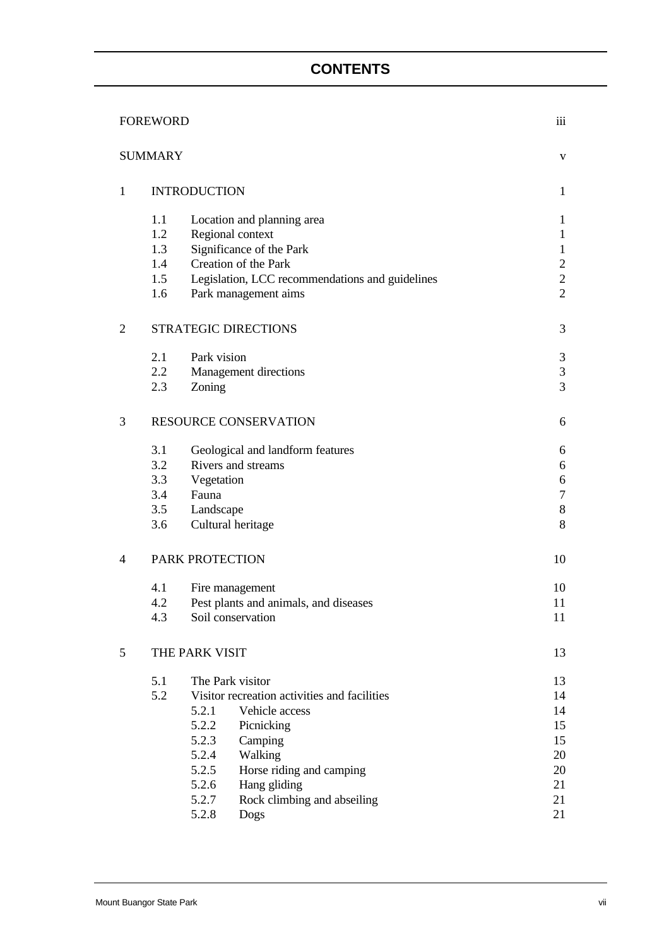# **CONTENTS**

|                | iii<br><b>FOREWORD</b> |                 |                                                 |                |  |
|----------------|------------------------|-----------------|-------------------------------------------------|----------------|--|
|                | <b>SUMMARY</b>         |                 |                                                 | V              |  |
| $\mathbf{1}$   | <b>INTRODUCTION</b>    | $\mathbf{1}$    |                                                 |                |  |
|                | 1.1                    |                 | Location and planning area                      | $\mathbf{1}$   |  |
|                | 1.2                    |                 | Regional context                                | $\mathbf{1}$   |  |
|                | 1.3                    |                 | Significance of the Park                        | $\mathbf{1}$   |  |
|                | 1.4                    |                 | Creation of the Park                            | $\overline{2}$ |  |
|                | 1.5                    |                 | Legislation, LCC recommendations and guidelines | $\overline{2}$ |  |
|                | 1.6                    |                 | Park management aims                            | $\overline{2}$ |  |
| $\overline{2}$ |                        |                 | STRATEGIC DIRECTIONS                            | 3              |  |
|                | 2.1                    | Park vision     |                                                 | 3              |  |
|                | 2.2                    |                 | Management directions                           | 3              |  |
|                | 2.3                    | Zoning          |                                                 | 3              |  |
| 3              |                        |                 | <b>RESOURCE CONSERVATION</b>                    | 6              |  |
|                | 3.1                    |                 | Geological and landform features                | 6              |  |
|                | 3.2                    |                 | Rivers and streams                              | 6              |  |
|                | 3.3                    | Vegetation      |                                                 | 6              |  |
|                | 3.4                    | Fauna           |                                                 | $\tau$         |  |
|                | 3.5                    | Landscape       |                                                 | $8\,$          |  |
|                | 3.6                    |                 | Cultural heritage                               | 8              |  |
| 4              |                        | PARK PROTECTION |                                                 | 10             |  |
|                | 4.1                    |                 | Fire management                                 | 10             |  |
|                | 4.2                    |                 | Pest plants and animals, and diseases           | 11             |  |
|                | 4.3                    |                 | Soil conservation                               | 11             |  |
| 5              |                        | THE PARK VISIT  |                                                 | 13             |  |
|                | 5.1                    |                 | The Park visitor                                | 13             |  |
|                | 5.2                    |                 | Visitor recreation activities and facilities    | 14             |  |
|                |                        | 5.2.1           | Vehicle access                                  | 14             |  |
|                |                        | 5.2.2           | Picnicking                                      | 15             |  |
|                |                        | 5.2.3           | Camping                                         | 15             |  |
|                |                        | 5.2.4           | Walking                                         | 20             |  |
|                |                        | 5.2.5           | Horse riding and camping                        | 20             |  |
|                |                        | 5.2.6           | Hang gliding                                    | 21             |  |
|                |                        | 5.2.7           | Rock climbing and abseiling                     | 21             |  |
|                |                        | 5.2.8           | Dogs                                            | 21             |  |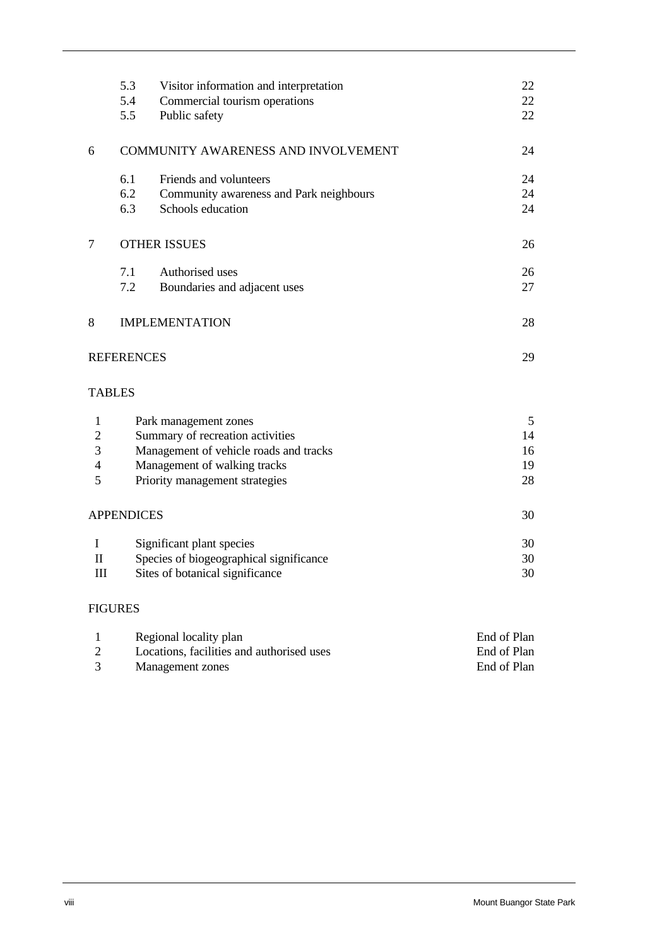|                | 5.3                            | Visitor information and interpretation  | 22 |  |  |  |  |
|----------------|--------------------------------|-----------------------------------------|----|--|--|--|--|
|                | 5.4                            | Commercial tourism operations           | 22 |  |  |  |  |
|                | 5.5                            | Public safety                           | 22 |  |  |  |  |
| 6              |                                | COMMUNITY AWARENESS AND INVOLVEMENT     | 24 |  |  |  |  |
|                | 6.1                            | Friends and volunteers                  | 24 |  |  |  |  |
|                | 6.2                            | Community awareness and Park neighbours | 24 |  |  |  |  |
|                | 6.3                            | Schools education                       | 24 |  |  |  |  |
| $\tau$         |                                | <b>OTHER ISSUES</b>                     | 26 |  |  |  |  |
|                | 7.1                            | Authorised uses                         | 26 |  |  |  |  |
|                | 7.2                            | Boundaries and adjacent uses            | 27 |  |  |  |  |
| 8              | <b>IMPLEMENTATION</b>          |                                         |    |  |  |  |  |
|                | <b>REFERENCES</b>              |                                         | 29 |  |  |  |  |
|                | <b>TABLES</b>                  |                                         |    |  |  |  |  |
| $\mathbf{1}$   |                                | Park management zones                   | 5  |  |  |  |  |
| $\overline{c}$ |                                | Summary of recreation activities        | 14 |  |  |  |  |
| $\overline{3}$ |                                | Management of vehicle roads and tracks  | 16 |  |  |  |  |
| $\overline{4}$ | Management of walking tracks   |                                         |    |  |  |  |  |
| 5              | Priority management strategies |                                         |    |  |  |  |  |
|                | <b>APPENDICES</b>              |                                         | 30 |  |  |  |  |
| I              |                                | Significant plant species               | 30 |  |  |  |  |
| $\mathbf{I}$   |                                | Species of biogeographical significance | 30 |  |  |  |  |
| III            |                                | Sites of botanical significance         | 30 |  |  |  |  |
|                |                                |                                         |    |  |  |  |  |

## FIGURES

| Regional locality plan                    | End of Plan |
|-------------------------------------------|-------------|
| Locations, facilities and authorised uses | End of Plan |
| Management zones                          | End of Plan |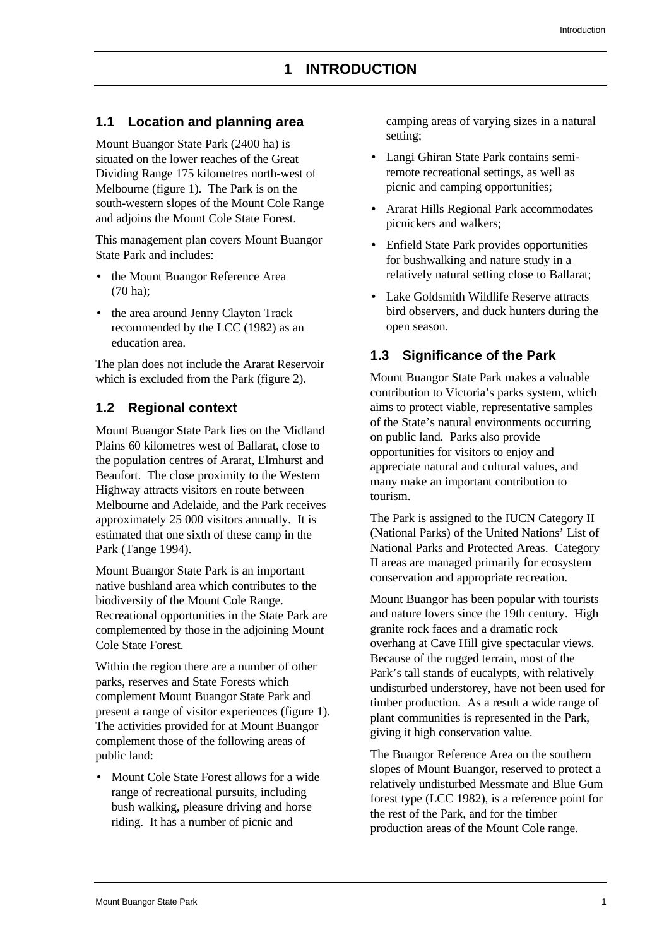### <span id="page-9-1"></span><span id="page-9-0"></span>**1.1 Location and planning area**

Mount Buangor State Park (2400 ha) is situated on the lower reaches of the Great Dividing Range 175 kilometres north-west of Melbourne (figure 1). The Park is on the south-western slopes of the Mount Cole Range and adjoins the Mount Cole State Forest.

This management plan covers Mount Buangor State Park and includes:

- the Mount Buangor Reference Area (70 ha);
- the area around Jenny Clayton Track recommended by the LCC (1982) as an education area.

<span id="page-9-3"></span>The plan does not include the Ararat Reservoir which is excluded from the Park (figure 2).

#### <span id="page-9-2"></span>**1.2 Regional context**

Mount Buangor State Park lies on the Midland Plains 60 kilometres west of Ballarat, close to the population centres of Ararat, Elmhurst and Beaufort. The close proximity to the Western Highway attracts visitors en route between Melbourne and Adelaide, and the Park receives approximately 25 000 visitors annually. It is estimated that one sixth of these camp in the Park (Tange 1994).

Mount Buangor State Park is an important native bushland area which contributes to the biodiversity of the Mount Cole Range. Recreational opportunities in the State Park are complemented by those in the adjoining Mount Cole State Forest.

Within the region there are a number of other parks, reserves and State Forests which complement Mount Buangor State Park and present a range of visitor experiences (figure 1). The activities provided for at Mount Buangor complement those of the following areas of public land:

• Mount Cole State Forest allows for a wide range of recreational pursuits, including bush walking, pleasure driving and horse riding. It has a number of picnic and

camping areas of varying sizes in a natural setting;

- Langi Ghiran State Park contains semiremote recreational settings, as well as picnic and camping opportunities;
- Ararat Hills Regional Park accommodates picnickers and walkers;
- Enfield State Park provides opportunities for bushwalking and nature study in a relatively natural setting close to Ballarat;
- Lake Goldsmith Wildlife Reserve attracts bird observers, and duck hunters during the open season.

## **1.3 Significance of the Park**

Mount Buangor State Park makes a valuable contribution to Victoria's parks system, which aims to protect viable, representative samples of the State's natural environments occurring on public land. Parks also provide opportunities for visitors to enjoy and appreciate natural and cultural values, and many make an important contribution to tourism.

The Park is assigned to the IUCN Category II (National Parks) of the United Nations' List of National Parks and Protected Areas. Category II areas are managed primarily for ecosystem conservation and appropriate recreation.

Mount Buangor has been popular with tourists and nature lovers since the 19th century. High granite rock faces and a dramatic rock overhang at Cave Hill give spectacular views. Because of the rugged terrain, most of the Park's tall stands of eucalypts, with relatively undisturbed understorey, have not been used for timber production. As a result a wide range of plant communities is represented in the Park, giving it high conservation value.

The Buangor Reference Area on the southern slopes of Mount Buangor, reserved to protect a relatively undisturbed Messmate and Blue Gum forest type (LCC 1982), is a reference point for the rest of the Park, and for the timber production areas of the Mount Cole range.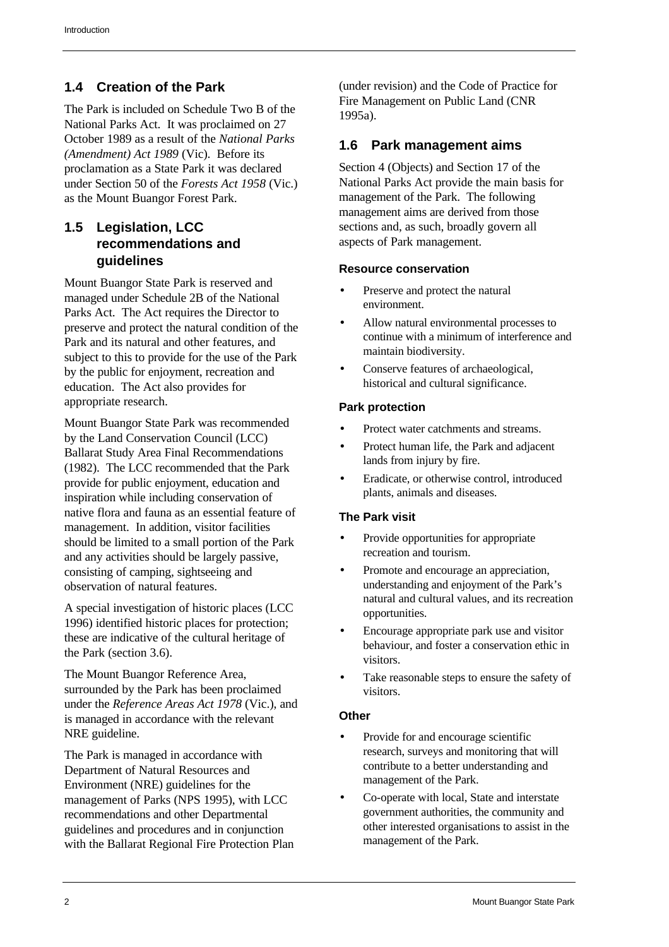# <span id="page-10-0"></span>**1.4 Creation of the Park**

<span id="page-10-2"></span>The Park is included on Schedule Two B of the National Parks Act. It was proclaimed on 27 October 1989 as a result of the *National Parks (Amendment) Act 1989* (Vic). Before its proclamation as a State Park it was declared under Section 50 of the *Forests Act 1958* (Vic.) as the Mount Buangor Forest Park.

## <span id="page-10-1"></span>**1.5 Legislation, LCC recommendations and guidelines**

Mount Buangor State Park is reserved and managed under Schedule 2B of the National Parks Act. The Act requires the Director to preserve and protect the natural condition of the Park and its natural and other features, and subject to this to provide for the use of the Park by the public for enjoyment, recreation and education. The Act also provides for appropriate research.

Mount Buangor State Park was recommended by the Land Conservation Council (LCC) Ballarat Study Area Final Recommendations (1982). The LCC recommended that the Park provide for public enjoyment, education and inspiration while including conservation of native flora and fauna as an essential feature of management. In addition, visitor facilities should be limited to a small portion of the Park and any activities should be largely passive, consisting of camping, sightseeing and observation of natural features.

A special investigation of historic places (LCC 1996) identified historic places for protection; these are indicative of the cultural heritage of the Park (section 3.6).

The Mount Buangor Reference Area, surrounded by the Park has been proclaimed under the *Reference Areas Act 1978* (Vic.), and is managed in accordance with the relevant NRE guideline.

The Park is managed in accordance with Department of Natural Resources and Environment (NRE) guidelines for the management of Parks (NPS 1995), with LCC recommendations and other Departmental guidelines and procedures and in conjunction with the Ballarat Regional Fire Protection Plan (under revision) and the Code of Practice for Fire Management on Public Land (CNR 1995a).

## **1.6 Park management aims**

Section 4 (Objects) and Section 17 of the National Parks Act provide the main basis for management of the Park. The following management aims are derived from those sections and, as such, broadly govern all aspects of Park management.

## **Resource conservation**

- Preserve and protect the natural environment.
- Allow natural environmental processes to continue with a minimum of interference and maintain biodiversity.
- Conserve features of archaeological, historical and cultural significance.

## **Park protection**

- Protect water catchments and streams.
- Protect human life, the Park and adjacent lands from injury by fire.
- Eradicate, or otherwise control, introduced plants, animals and diseases.

## **The Park visit**

- Provide opportunities for appropriate recreation and tourism.
- Promote and encourage an appreciation, understanding and enjoyment of the Park's natural and cultural values, and its recreation opportunities.
- Encourage appropriate park use and visitor behaviour, and foster a conservation ethic in visitors.
- Take reasonable steps to ensure the safety of visitors.

## **Other**

- Provide for and encourage scientific research, surveys and monitoring that will contribute to a better understanding and management of the Park.
- Co-operate with local, State and interstate government authorities, the community and other interested organisations to assist in the management of the Park.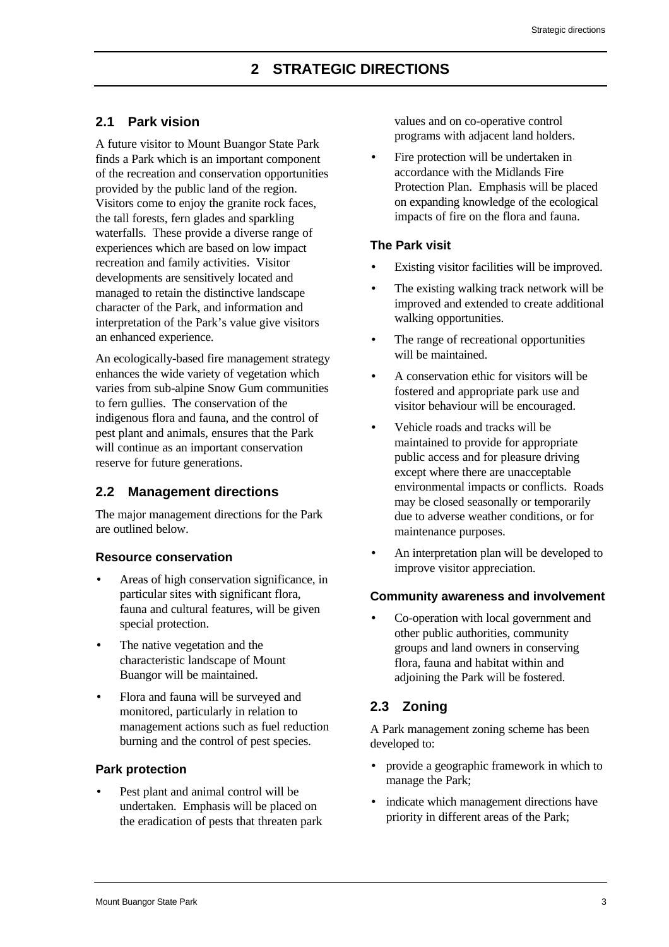## <span id="page-11-1"></span><span id="page-11-0"></span>**2.1 Park vision**

A future visitor to Mount Buangor State Park finds a Park which is an important component of the recreation and conservation opportunities provided by the public land of the region. Visitors come to enjoy the granite rock faces, the tall forests, fern glades and sparkling waterfalls. These provide a diverse range of experiences which are based on low impact recreation and family activities. Visitor developments are sensitively located and managed to retain the distinctive landscape character of the Park, and information and interpretation of the Park's value give visitors an enhanced experience.

<span id="page-11-2"></span>An ecologically-based fire management strategy enhances the wide variety of vegetation which varies from sub-alpine Snow Gum communities to fern gullies. The conservation of the indigenous flora and fauna, and the control of pest plant and animals, ensures that the Park will continue as an important conservation reserve for future generations.

## **2.2 Management directions**

The major management directions for the Park are outlined below.

## **Resource conservation**

- Areas of high conservation significance, in particular sites with significant flora, fauna and cultural features, will be given special protection.
- The native vegetation and the characteristic landscape of Mount Buangor will be maintained.
- Flora and fauna will be surveyed and monitored, particularly in relation to management actions such as fuel reduction burning and the control of pest species.

## **Park protection**

Pest plant and animal control will be undertaken. Emphasis will be placed on the eradication of pests that threaten park values and on co-operative control programs with adjacent land holders.

• Fire protection will be undertaken in accordance with the Midlands Fire Protection Plan. Emphasis will be placed on expanding knowledge of the ecological impacts of fire on the flora and fauna.

## **The Park visit**

- Existing visitor facilities will be improved.
- The existing walking track network will be improved and extended to create additional walking opportunities.
- The range of recreational opportunities will be maintained.
- A conservation ethic for visitors will be fostered and appropriate park use and visitor behaviour will be encouraged.
- Vehicle roads and tracks will be maintained to provide for appropriate public access and for pleasure driving except where there are unacceptable environmental impacts or conflicts. Roads may be closed seasonally or temporarily due to adverse weather conditions, or for maintenance purposes.
- An interpretation plan will be developed to improve visitor appreciation.

## **Community awareness and involvement**

• Co-operation with local government and other public authorities, community groups and land owners in conserving flora, fauna and habitat within and adjoining the Park will be fostered.

## **2.3 Zoning**

A Park management zoning scheme has been developed to:

- provide a geographic framework in which to manage the Park;
- indicate which management directions have priority in different areas of the Park;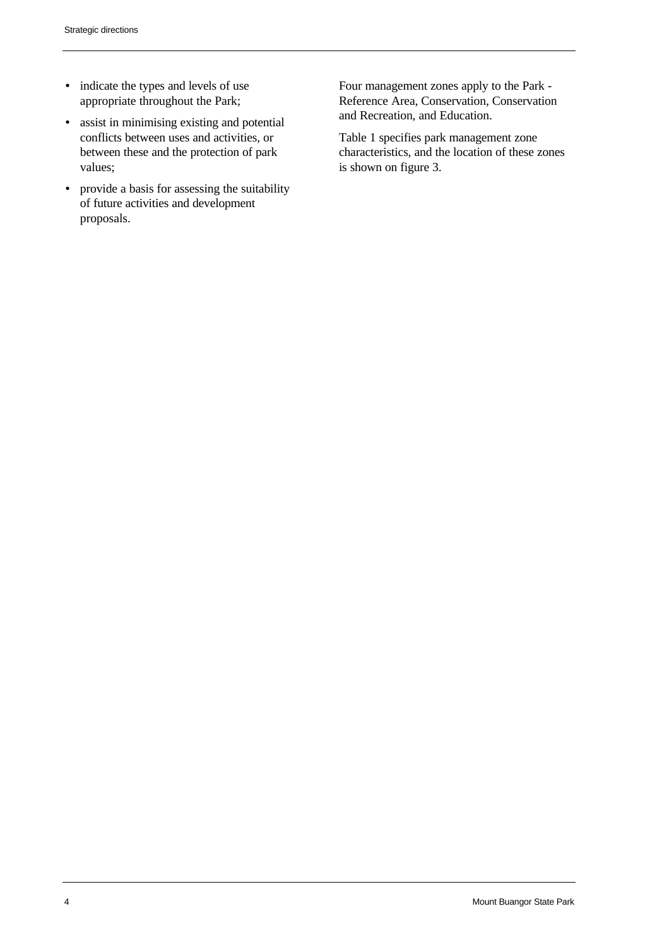- indicate the types and levels of use appropriate throughout the Park;
- assist in minimising existing and potential conflicts between uses and activities, or between these and the protection of park values;
- provide a basis for assessing the suitability of future activities and development proposals.

Four management zones apply to the Park - Reference Area, Conservation, Conservation and Recreation, and Education.

Table 1 specifies park management zone characteristics, and the location of these zones is shown on figure 3.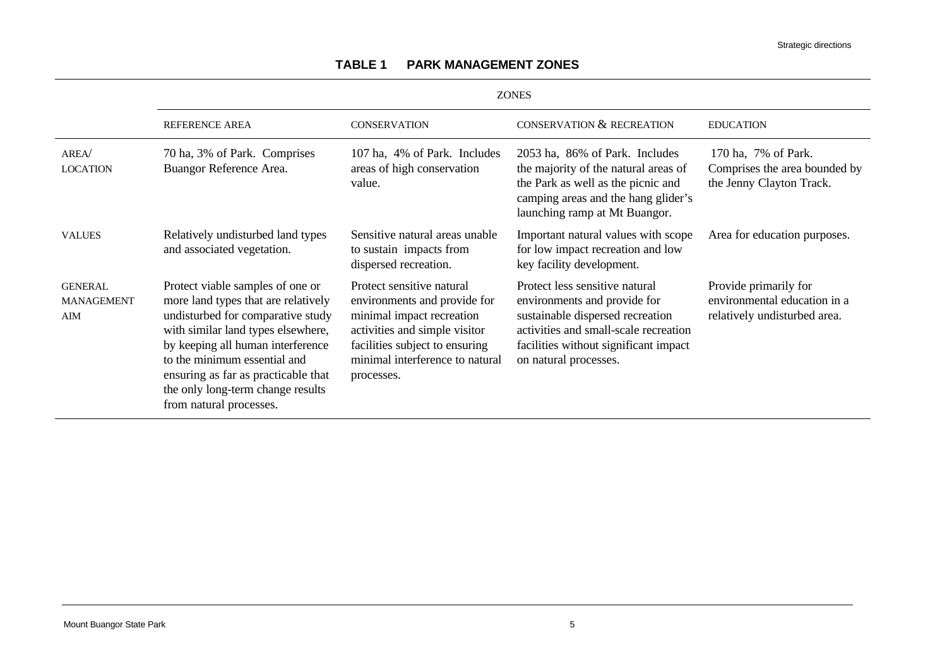<span id="page-13-0"></span>

|                                                   | <b>ZONES</b>                                                                                                                                                                                                                                                                                                                   |                                                                                                                                                                                                            |                                                                                                                                                                                                               |                                                                                       |  |  |  |
|---------------------------------------------------|--------------------------------------------------------------------------------------------------------------------------------------------------------------------------------------------------------------------------------------------------------------------------------------------------------------------------------|------------------------------------------------------------------------------------------------------------------------------------------------------------------------------------------------------------|---------------------------------------------------------------------------------------------------------------------------------------------------------------------------------------------------------------|---------------------------------------------------------------------------------------|--|--|--|
|                                                   | <b>REFERENCE AREA</b>                                                                                                                                                                                                                                                                                                          | <b>CONSERVATION</b>                                                                                                                                                                                        | <b>CONSERVATION &amp; RECREATION</b>                                                                                                                                                                          | <b>EDUCATION</b>                                                                      |  |  |  |
| AREA<br><b>LOCATION</b>                           | 70 ha, 3% of Park. Comprises<br>Buangor Reference Area.                                                                                                                                                                                                                                                                        | 107 ha, 4% of Park. Includes<br>areas of high conservation<br>value.                                                                                                                                       | 2053 ha, 86% of Park. Includes<br>the majority of the natural areas of<br>the Park as well as the picnic and<br>camping areas and the hang glider's<br>launching ramp at Mt Buangor.                          | 170 ha, 7% of Park.<br>Comprises the area bounded by<br>the Jenny Clayton Track.      |  |  |  |
| <b>VALUES</b>                                     | Relatively undisturbed land types<br>and associated vegetation.                                                                                                                                                                                                                                                                | Sensitive natural areas unable<br>to sustain impacts from<br>dispersed recreation.                                                                                                                         | Important natural values with scope<br>for low impact recreation and low<br>key facility development.                                                                                                         | Area for education purposes.                                                          |  |  |  |
| <b>GENERAL</b><br><b>MANAGEMENT</b><br><b>AIM</b> | Protect viable samples of one or<br>more land types that are relatively<br>undisturbed for comparative study<br>with similar land types elsewhere,<br>by keeping all human interference<br>to the minimum essential and<br>ensuring as far as practicable that<br>the only long-term change results<br>from natural processes. | Protect sensitive natural<br>environments and provide for<br>minimal impact recreation<br>activities and simple visitor<br>facilities subject to ensuring<br>minimal interference to natural<br>processes. | Protect less sensitive natural<br>environments and provide for<br>sustainable dispersed recreation<br>activities and small-scale recreation<br>facilities without significant impact<br>on natural processes. | Provide primarily for<br>environmental education in a<br>relatively undisturbed area. |  |  |  |

## **TABLE 1 PARK MANAGEMENT ZONES**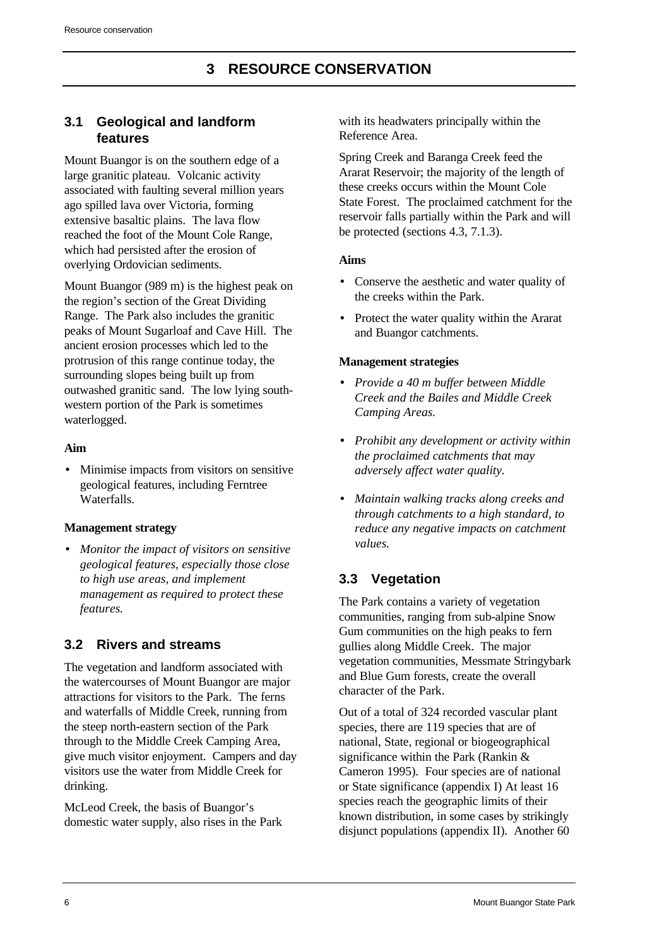## <span id="page-14-1"></span><span id="page-14-0"></span>**3.1 Geological and landform features**

Mount Buangor is on the southern edge of a large granitic plateau. Volcanic activity associated with faulting several million years ago spilled lava over Victoria, forming extensive basaltic plains. The lava flow reached the foot of the Mount Cole Range, which had persisted after the erosion of overlying Ordovician sediments.

Mount Buangor (989 m) is the highest peak on the region's section of the Great Dividing Range. The Park also includes the granitic peaks of Mount Sugarloaf and Cave Hill. The ancient erosion processes which led to the protrusion of this range continue today, the surrounding slopes being built up from outwashed granitic sand. The low lying southwestern portion of the Park is sometimes waterlogged.

#### <span id="page-14-2"></span>**Aim**

• Minimise impacts from visitors on sensitive geological features, including Ferntree Waterfalls.

## **Management strategy**

• *Monitor the impact of visitors on sensitive geological features, especially those close to high use areas, and implement management as required to protect these features.*

## **3.2 Rivers and streams**

The vegetation and landform associated with the watercourses of Mount Buangor are major attractions for visitors to the Park. The ferns and waterfalls of Middle Creek, running from the steep north-eastern section of the Park through to the Middle Creek Camping Area, give much visitor enjoyment. Campers and day visitors use the water from Middle Creek for drinking.

McLeod Creek, the basis of Buangor's domestic water supply, also rises in the Park with its headwaters principally within the Reference Area.

Spring Creek and Baranga Creek feed the Ararat Reservoir; the majority of the length of these creeks occurs within the Mount Cole State Forest. The proclaimed catchment for the reservoir falls partially within the Park and will be protected (sections 4.3, 7.1.3).

## **Aims**

- Conserve the aesthetic and water quality of the creeks within the Park.
- Protect the water quality within the Ararat and Buangor catchments.

## **Management strategies**

- *Provide a 40 m buffer between Middle Creek and the Bailes and Middle Creek Camping Areas.*
- *Prohibit any development or activity within the proclaimed catchments that may adversely affect water quality.*
- *Maintain walking tracks along creeks and through catchments to a high standard, to reduce any negative impacts on catchment values.*

# **3.3 Vegetation**

The Park contains a variety of vegetation communities, ranging from sub-alpine Snow Gum communities on the high peaks to fern gullies along Middle Creek. The major vegetation communities, Messmate Stringybark and Blue Gum forests, create the overall character of the Park.

Out of a total of 324 recorded vascular plant species, there are 119 species that are of national, State, regional or biogeographical significance within the Park (Rankin & Cameron 1995). Four species are of national or State significance (appendix I) At least 16 species reach the geographic limits of their known distribution, in some cases by strikingly disjunct populations (appendix II). Another 60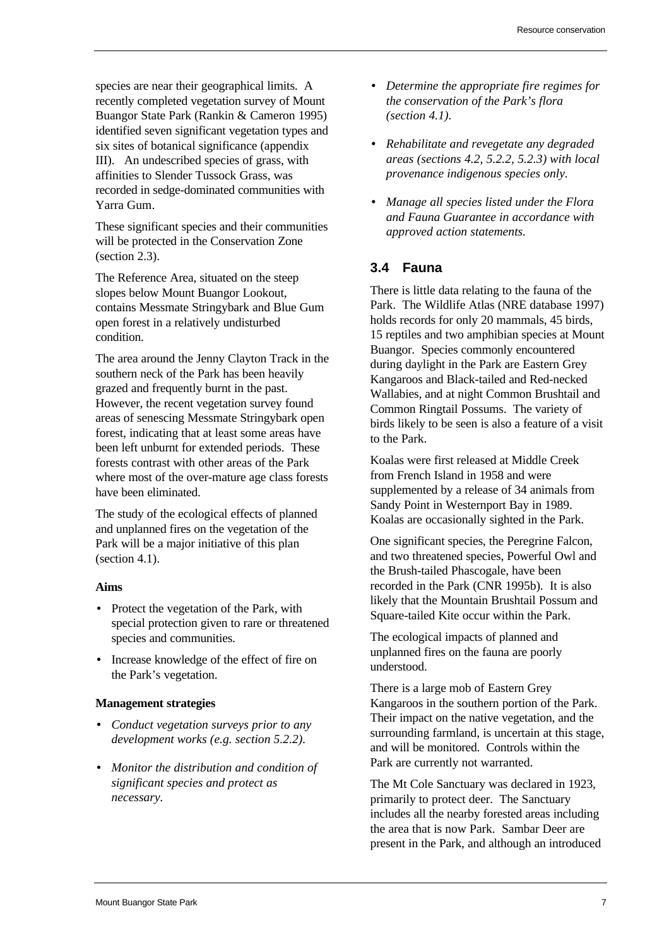species are near their geographical limits. A recently completed vegetation survey of Mount Buangor State Park (Rankin & Cameron 1995) identified seven significant vegetation types and six sites of botanical significance (appendix III). An undescribed species of grass, with affinities to Slender Tussock Grass, was recorded in sedge-dominated communities with Yarra Gum.

These significant species and their communities will be protected in the Conservation Zone (section 2.3).

<span id="page-15-0"></span>The Reference Area, situated on the steep slopes below Mount Buangor Lookout, contains Messmate Stringybark and Blue Gum open forest in a relatively undisturbed condition.

The area around the Jenny Clayton Track in the southern neck of the Park has been heavily grazed and frequently burnt in the past. However, the recent vegetation survey found areas of senescing Messmate Stringybark open forest, indicating that at least some areas have been left unburnt for extended periods. These forests contrast with other areas of the Park where most of the over-mature age class forests have been eliminated.

The study of the ecological effects of planned and unplanned fires on the vegetation of the Park will be a major initiative of this plan (section 4.1).

#### **Aims**

- Protect the vegetation of the Park, with special protection given to rare or threatened species and communities.
- Increase knowledge of the effect of fire on the Park's vegetation.

#### **Management strategies**

- *Conduct vegetation surveys prior to any development works (e.g. section 5.2.2).*
- *Monitor the distribution and condition of significant species and protect as necessary.*
- *Determine the appropriate fire regimes for the conservation of the Park's flora (section 4.1).*
- *Rehabilitate and revegetate any degraded areas (sections 4.2, 5.2.2, 5.2.3) with local provenance indigenous species only.*
- *Manage all species listed under the Flora and Fauna Guarantee in accordance with approved action statements.*

## **3.4 Fauna**

There is little data relating to the fauna of the Park. The Wildlife Atlas (NRE database 1997) holds records for only 20 mammals, 45 birds, 15 reptiles and two amphibian species at Mount Buangor. Species commonly encountered during daylight in the Park are Eastern Grey Kangaroos and Black-tailed and Red-necked Wallabies, and at night Common Brushtail and Common Ringtail Possums. The variety of birds likely to be seen is also a feature of a visit to the Park.

Koalas were first released at Middle Creek from French Island in 1958 and were supplemented by a release of 34 animals from Sandy Point in Westernport Bay in 1989. Koalas are occasionally sighted in the Park.

One significant species, the Peregrine Falcon, and two threatened species, Powerful Owl and the Brush-tailed Phascogale, have been recorded in the Park (CNR 1995b). It is also likely that the Mountain Brushtail Possum and Square-tailed Kite occur within the Park.

The ecological impacts of planned and unplanned fires on the fauna are poorly understood.

There is a large mob of Eastern Grey Kangaroos in the southern portion of the Park. Their impact on the native vegetation, and the surrounding farmland, is uncertain at this stage, and will be monitored. Controls within the Park are currently not warranted.

The Mt Cole Sanctuary was declared in 1923, primarily to protect deer. The Sanctuary includes all the nearby forested areas including the area that is now Park. Sambar Deer are present in the Park, and although an introduced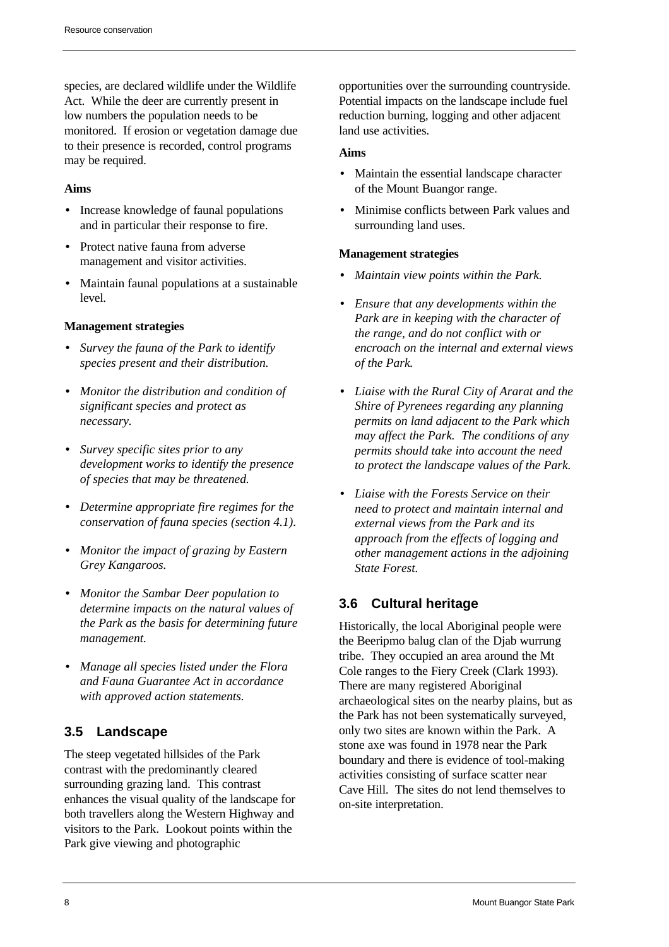species, are declared wildlife under the Wildlife Act. While the deer are currently present in low numbers the population needs to be monitored. If erosion or vegetation damage due to their presence is recorded, control programs may be required.

#### **Aims**

- Increase knowledge of faunal populations and in particular their response to fire.
- Protect native fauna from adverse management and visitor activities.
- Maintain faunal populations at a sustainable level.

#### **Management strategies**

- *Survey the fauna of the Park to identify species present and their distribution.*
- <span id="page-16-0"></span>• *Monitor the distribution and condition of significant species and protect as necessary.*
- *Survey specific sites prior to any development works to identify the presence of species that may be threatened.*
- *Determine appropriate fire regimes for the conservation of fauna species (section 4.1).*
- *Monitor the impact of grazing by Eastern Grey Kangaroos.*
- *Monitor the Sambar Deer population to determine impacts on the natural values of the Park as the basis for determining future management.*
- *Manage all species listed under the Flora and Fauna Guarantee Act in accordance with approved action statements.*

## **3.5 Landscape**

The steep vegetated hillsides of the Park contrast with the predominantly cleared surrounding grazing land. This contrast enhances the visual quality of the landscape for both travellers along the Western Highway and visitors to the Park. Lookout points within the Park give viewing and photographic

opportunities over the surrounding countryside. Potential impacts on the landscape include fuel reduction burning, logging and other adjacent land use activities.

#### **Aims**

- Maintain the essential landscape character of the Mount Buangor range.
- Minimise conflicts between Park values and surrounding land uses.

## **Management strategies**

- *Maintain view points within the Park.*
- *Ensure that any developments within the Park are in keeping with the character of the range, and do not conflict with or encroach on the internal and external views of the Park.*
- *Liaise with the Rural City of Ararat and the Shire of Pyrenees regarding any planning permits on land adjacent to the Park which may affect the Park. The conditions of any permits should take into account the need to protect the landscape values of the Park.*
- *Liaise with the Forests Service on their need to protect and maintain internal and external views from the Park and its approach from the effects of logging and other management actions in the adjoining State Forest.*

# **3.6 Cultural heritage**

Historically, the local Aboriginal people were the Beeripmo balug clan of the Djab wurrung tribe. They occupied an area around the Mt Cole ranges to the Fiery Creek (Clark 1993). There are many registered Aboriginal archaeological sites on the nearby plains, but as the Park has not been systematically surveyed, only two sites are known within the Park. A stone axe was found in 1978 near the Park boundary and there is evidence of tool-making activities consisting of surface scatter near Cave Hill. The sites do not lend themselves to on-site interpretation.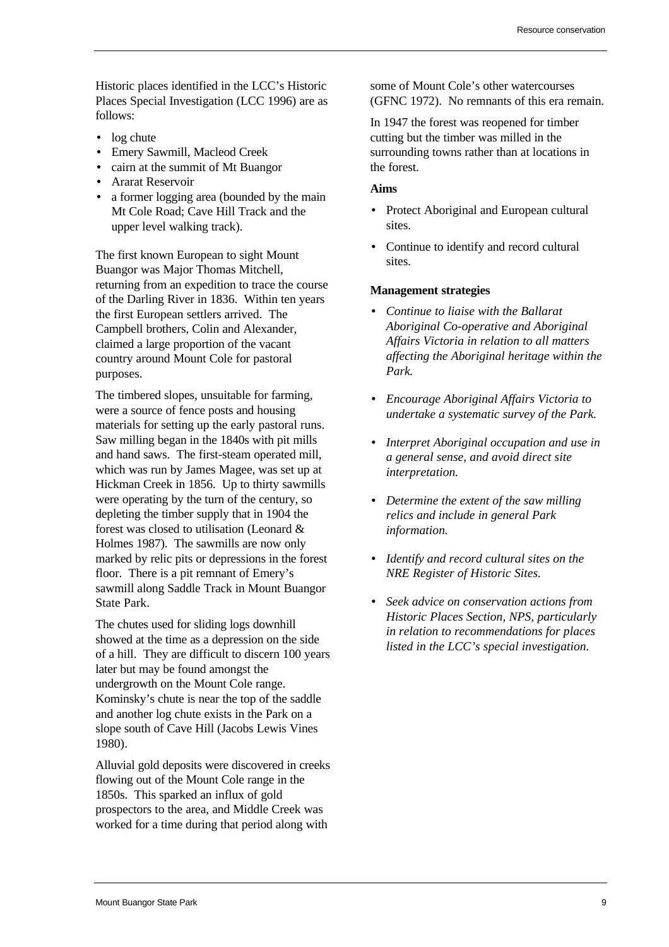Historic places identified in the LCC's Historic Places Special Investigation (LCC 1996) are as follows:

- log chute
- Emery Sawmill, Macleod Creek
- cairn at the summit of Mt Buangor
- Ararat Reservoir
- a former logging area (bounded by the main Mt Cole Road; Cave Hill Track and the upper level walking track).

The first known European to sight Mount Buangor was Major Thomas Mitchell, returning from an expedition to trace the course of the Darling River in 1836. Within ten years the first European settlers arrived. The Campbell brothers, Colin and Alexander, claimed a large proportion of the vacant country around Mount Cole for pastoral purposes.

The timbered slopes, unsuitable for farming, were a source of fence posts and housing materials for setting up the early pastoral runs. Saw milling began in the 1840s with pit mills and hand saws. The first-steam operated mill, which was run by James Magee, was set up at Hickman Creek in 1856. Up to thirty sawmills were operating by the turn of the century, so depleting the timber supply that in 1904 the forest was closed to utilisation (Leonard & Holmes 1987). The sawmills are now only marked by relic pits or depressions in the forest floor. There is a pit remnant of Emery's sawmill along Saddle Track in Mount Buangor State Park.

The chutes used for sliding logs downhill showed at the time as a depression on the side of a hill. They are difficult to discern 100 years later but may be found amongst the undergrowth on the Mount Cole range. Kominsky's chute is near the top of the saddle and another log chute exists in the Park on a slope south of Cave Hill (Jacobs Lewis Vines 1980).

Alluvial gold deposits were discovered in creeks flowing out of the Mount Cole range in the 1850s. This sparked an influx of gold prospectors to the area, and Middle Creek was worked for a time during that period along with

some of Mount Cole's other watercourses (GFNC 1972). No remnants of this era remain.

In 1947 the forest was reopened for timber cutting but the timber was milled in the surrounding towns rather than at locations in the forest.

#### **Aims**

- Protect Aboriginal and European cultural sites.
- Continue to identify and record cultural sites.

- *Continue to liaise with the Ballarat Aboriginal Co-operative and Aboriginal Affairs Victoria in relation to all matters affecting the Aboriginal heritage within the Park.*
- *Encourage Aboriginal Affairs Victoria to undertake a systematic survey of the Park.*
- *Interpret Aboriginal occupation and use in a general sense, and avoid direct site interpretation.*
- *Determine the extent of the saw milling relics and include in general Park information.*
- *Identify and record cultural sites on the NRE Register of Historic Sites.*
- *Seek advice on conservation actions from Historic Places Section, NPS, particularly in relation to recommendations for places listed in the LCC's special investigation.*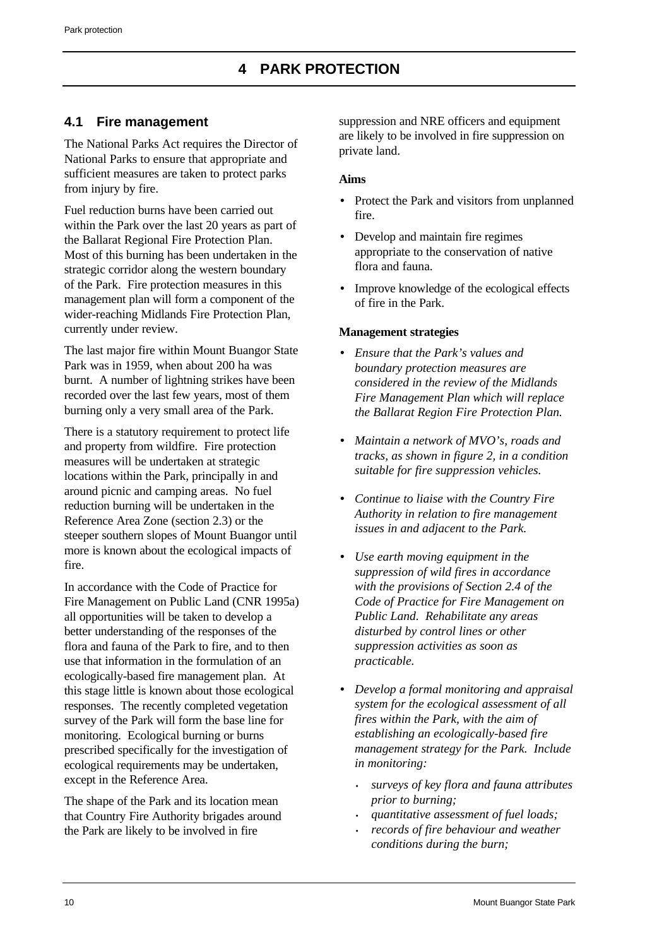## <span id="page-18-1"></span><span id="page-18-0"></span>**4.1 Fire management**

The National Parks Act requires the Director of National Parks to ensure that appropriate and sufficient measures are taken to protect parks from injury by fire.

Fuel reduction burns have been carried out within the Park over the last 20 years as part of the Ballarat Regional Fire Protection Plan. Most of this burning has been undertaken in the strategic corridor along the western boundary of the Park. Fire protection measures in this management plan will form a component of the wider-reaching Midlands Fire Protection Plan, currently under review.

The last major fire within Mount Buangor State Park was in 1959, when about 200 ha was burnt. A number of lightning strikes have been recorded over the last few years, most of them burning only a very small area of the Park.

There is a statutory requirement to protect life and property from wildfire. Fire protection measures will be undertaken at strategic locations within the Park, principally in and around picnic and camping areas. No fuel reduction burning will be undertaken in the Reference Area Zone (section 2.3) or the steeper southern slopes of Mount Buangor until more is known about the ecological impacts of fire.

In accordance with the Code of Practice for Fire Management on Public Land (CNR 1995a) all opportunities will be taken to develop a better understanding of the responses of the flora and fauna of the Park to fire, and to then use that information in the formulation of an ecologically-based fire management plan. At this stage little is known about those ecological responses. The recently completed vegetation survey of the Park will form the base line for monitoring. Ecological burning or burns prescribed specifically for the investigation of ecological requirements may be undertaken, except in the Reference Area.

The shape of the Park and its location mean that Country Fire Authority brigades around the Park are likely to be involved in fire

suppression and NRE officers and equipment are likely to be involved in fire suppression on private land.

## **Aims**

- Protect the Park and visitors from unplanned fire.
- Develop and maintain fire regimes appropriate to the conservation of native flora and fauna.
- Improve knowledge of the ecological effects of fire in the Park.

- *Ensure that the Park's values and boundary protection measures are considered in the review of the Midlands Fire Management Plan which will replace the Ballarat Region Fire Protection Plan.*
- *Maintain a network of MVO's, roads and tracks, as shown in figure 2, in a condition suitable for fire suppression vehicles.*
- *Continue to liaise with the Country Fire Authority in relation to fire management issues in and adjacent to the Park.*
- *Use earth moving equipment in the suppression of wild fires in accordance with the provisions of Section 2.4 of the Code of Practice for Fire Management on Public Land. Rehabilitate any areas disturbed by control lines or other suppression activities as soon as practicable.*
- *Develop a formal monitoring and appraisal system for the ecological assessment of all fires within the Park, with the aim of establishing an ecologically-based fire management strategy for the Park. Include in monitoring:*
	- *surveys of key flora and fauna attributes prior to burning;*
	- *quantitative assessment of fuel loads;*
	- *records of fire behaviour and weather conditions during the burn;*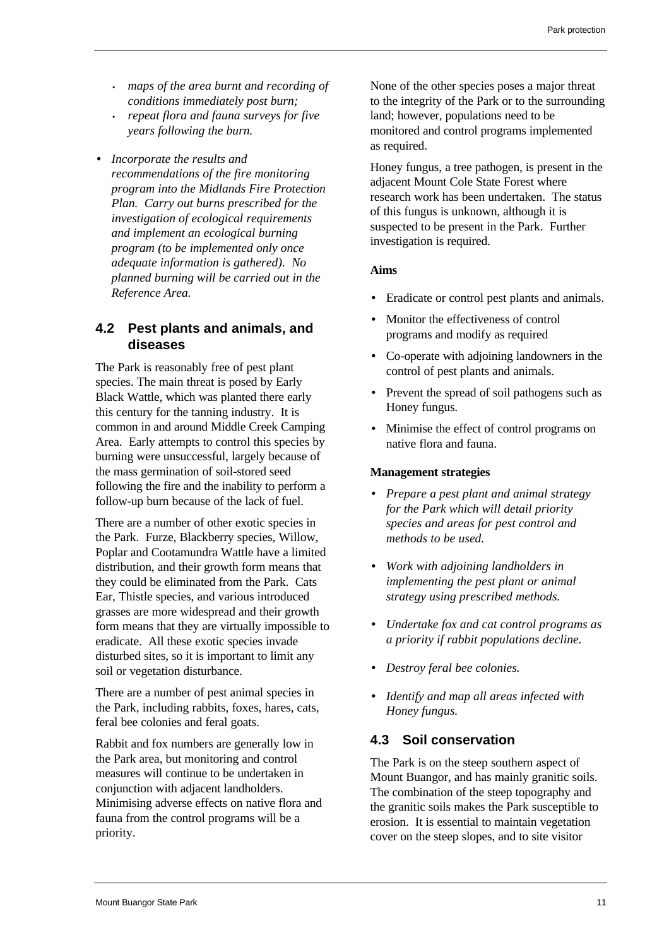- *maps of the area burnt and recording of conditions immediately post burn;*
- *repeat flora and fauna surveys for five years following the burn.*
- *Incorporate the results and recommendations of the fire monitoring program into the Midlands Fire Protection Plan. Carry out burns prescribed for the investigation of ecological requirements and implement an ecological burning program (to be implemented only once adequate information is gathered). No planned burning will be carried out in the Reference Area.*

## <span id="page-19-0"></span>**4.2 Pest plants and animals, and diseases**

<span id="page-19-1"></span>The Park is reasonably free of pest plant species. The main threat is posed by Early Black Wattle, which was planted there early this century for the tanning industry. It is common in and around Middle Creek Camping Area. Early attempts to control this species by burning were unsuccessful, largely because of the mass germination of soil-stored seed following the fire and the inability to perform a follow-up burn because of the lack of fuel.

There are a number of other exotic species in the Park. Furze, Blackberry species, Willow, Poplar and Cootamundra Wattle have a limited distribution, and their growth form means that they could be eliminated from the Park. Cats Ear, Thistle species, and various introduced grasses are more widespread and their growth form means that they are virtually impossible to eradicate. All these exotic species invade disturbed sites, so it is important to limit any soil or vegetation disturbance.

There are a number of pest animal species in the Park, including rabbits, foxes, hares, cats, feral bee colonies and feral goats.

Rabbit and fox numbers are generally low in the Park area, but monitoring and control measures will continue to be undertaken in conjunction with adjacent landholders. Minimising adverse effects on native flora and fauna from the control programs will be a priority.

None of the other species poses a major threat to the integrity of the Park or to the surrounding land; however, populations need to be monitored and control programs implemented as required.

Honey fungus, a tree pathogen, is present in the adjacent Mount Cole State Forest where research work has been undertaken. The status of this fungus is unknown, although it is suspected to be present in the Park. Further investigation is required.

## **Aims**

- Eradicate or control pest plants and animals.
- Monitor the effectiveness of control programs and modify as required
- Co-operate with adjoining landowners in the control of pest plants and animals.
- Prevent the spread of soil pathogens such as Honey fungus.
- Minimise the effect of control programs on native flora and fauna.

#### **Management strategies**

- *Prepare a pest plant and animal strategy for the Park which will detail priority species and areas for pest control and methods to be used.*
- *Work with adjoining landholders in implementing the pest plant or animal strategy using prescribed methods.*
- *Undertake fox and cat control programs as a priority if rabbit populations decline.*
- *Destroy feral bee colonies.*
- *Identify and map all areas infected with Honey fungus.*

## **4.3 Soil conservation**

The Park is on the steep southern aspect of Mount Buangor, and has mainly granitic soils. The combination of the steep topography and the granitic soils makes the Park susceptible to erosion. It is essential to maintain vegetation cover on the steep slopes, and to site visitor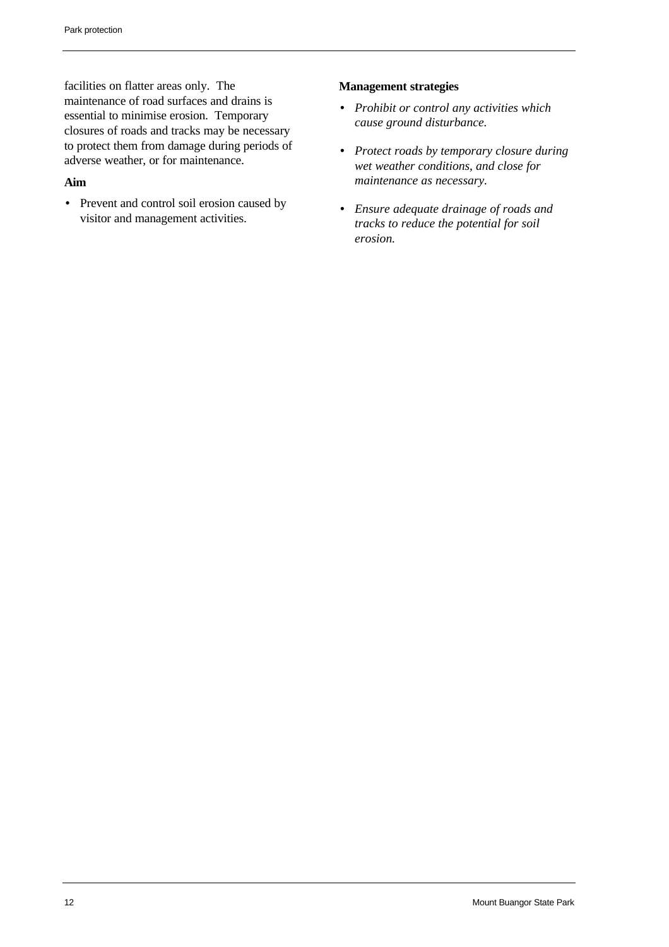facilities on flatter areas only. The maintenance of road surfaces and drains is essential to minimise erosion. Temporary closures of roads and tracks may be necessary to protect them from damage during periods of adverse weather, or for maintenance.

#### **Aim**

• Prevent and control soil erosion caused by visitor and management activities.

- *Prohibit or control any activities which cause ground disturbance.*
- *Protect roads by temporary closure during wet weather conditions, and close for maintenance as necessary.*
- *Ensure adequate drainage of roads and tracks to reduce the potential for soil erosion.*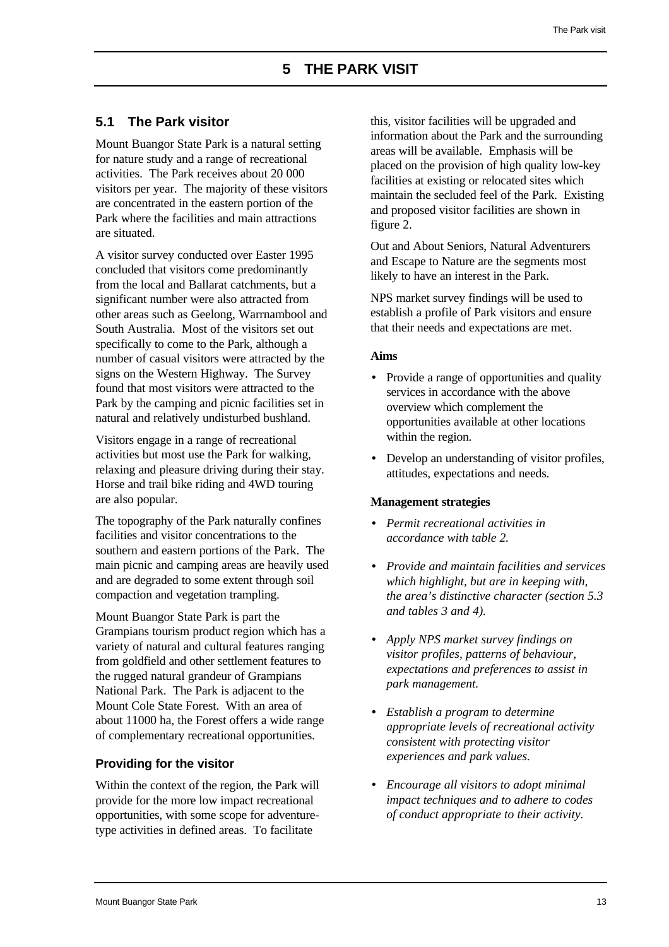## <span id="page-21-1"></span><span id="page-21-0"></span>**5.1 The Park visitor**

Mount Buangor State Park is a natural setting for nature study and a range of recreational activities. The Park receives about 20 000 visitors per year. The majority of these visitors are concentrated in the eastern portion of the Park where the facilities and main attractions are situated.

A visitor survey conducted over Easter 1995 concluded that visitors come predominantly from the local and Ballarat catchments, but a significant number were also attracted from other areas such as Geelong, Warrnambool and South Australia. Most of the visitors set out specifically to come to the Park, although a number of casual visitors were attracted by the signs on the Western Highway. The Survey found that most visitors were attracted to the Park by the camping and picnic facilities set in natural and relatively undisturbed bushland.

Visitors engage in a range of recreational activities but most use the Park for walking, relaxing and pleasure driving during their stay. Horse and trail bike riding and 4WD touring are also popular.

The topography of the Park naturally confines facilities and visitor concentrations to the southern and eastern portions of the Park. The main picnic and camping areas are heavily used and are degraded to some extent through soil compaction and vegetation trampling.

Mount Buangor State Park is part the Grampians tourism product region which has a variety of natural and cultural features ranging from goldfield and other settlement features to the rugged natural grandeur of Grampians National Park. The Park is adjacent to the Mount Cole State Forest. With an area of about 11000 ha, the Forest offers a wide range of complementary recreational opportunities.

## **Providing for the visitor**

Within the context of the region, the Park will provide for the more low impact recreational opportunities, with some scope for adventuretype activities in defined areas. To facilitate

this, visitor facilities will be upgraded and information about the Park and the surrounding areas will be available. Emphasis will be placed on the provision of high quality low-key facilities at existing or relocated sites which maintain the secluded feel of the Park. Existing and proposed visitor facilities are shown in figure 2.

Out and About Seniors, Natural Adventurers and Escape to Nature are the segments most likely to have an interest in the Park.

NPS market survey findings will be used to establish a profile of Park visitors and ensure that their needs and expectations are met.

#### **Aims**

- Provide a range of opportunities and quality services in accordance with the above overview which complement the opportunities available at other locations within the region.
- Develop an understanding of visitor profiles, attitudes, expectations and needs.

- *Permit recreational activities in accordance with table 2.*
- *Provide and maintain facilities and services which highlight, but are in keeping with, the area's distinctive character (section 5.3 and tables 3 and 4).*
- *Apply NPS market survey findings on visitor profiles, patterns of behaviour, expectations and preferences to assist in park management.*
- *Establish a program to determine appropriate levels of recreational activity consistent with protecting visitor experiences and park values.*
- *Encourage all visitors to adopt minimal impact techniques and to adhere to codes of conduct appropriate to their activity.*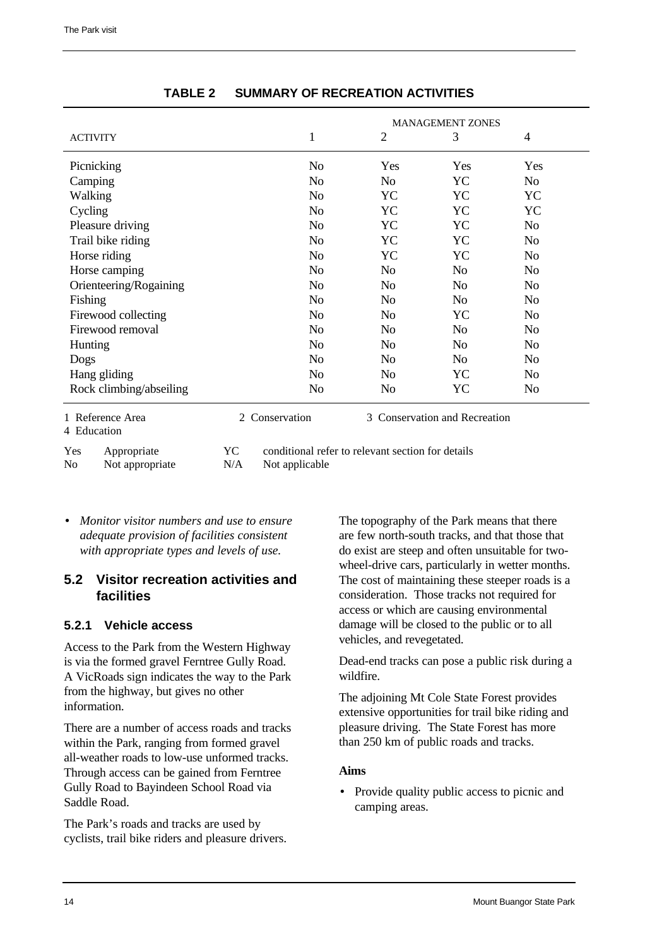<span id="page-22-1"></span>

|                         | <b>MANAGEMENT ZONES</b> |                |                |                |  |
|-------------------------|-------------------------|----------------|----------------|----------------|--|
| <b>ACTIVITY</b>         | 1                       | $\overline{2}$ | 3              | 4              |  |
| Picnicking              | No                      | <b>Yes</b>     | Yes            | Yes            |  |
| Camping                 | N <sub>o</sub>          | N <sub>o</sub> | YC             | N <sub>o</sub> |  |
| Walking                 | N <sub>0</sub>          | YC             | YC             | YC             |  |
| Cycling                 | N <sub>o</sub>          | YC             | YC             | YC             |  |
| Pleasure driving        | N <sub>o</sub>          | YC             | YC             | N <sub>o</sub> |  |
| Trail bike riding       | N <sub>0</sub>          | YC             | YC             | N <sub>0</sub> |  |
| Horse riding            | N <sub>o</sub>          | YC             | YC             | N <sub>o</sub> |  |
| Horse camping           | N <sub>0</sub>          | N <sub>0</sub> | N <sub>0</sub> | N <sub>0</sub> |  |
| Orienteering/Rogaining  | N <sub>0</sub>          | No             | N <sub>o</sub> | N <sub>0</sub> |  |
| Fishing                 | N <sub>0</sub>          | N <sub>0</sub> | N <sub>0</sub> | N <sub>0</sub> |  |
| Firewood collecting     | N <sub>0</sub>          | N <sub>0</sub> | YC             | N <sub>0</sub> |  |
| Firewood removal        | N <sub>0</sub>          | N <sub>0</sub> | N <sub>0</sub> | N <sub>0</sub> |  |
| Hunting                 | N <sub>0</sub>          | N <sub>0</sub> | N <sub>0</sub> | N <sub>0</sub> |  |
| Dogs                    | N <sub>o</sub>          | N <sub>0</sub> | N <sub>o</sub> | N <sub>o</sub> |  |
| Hang gliding            | N <sub>0</sub>          | N <sub>0</sub> | YC             | N <sub>0</sub> |  |
| Rock climbing/abseiling | N <sub>0</sub>          | N <sub>0</sub> | YC             | No             |  |

#### **TABLE 2 SUMMARY OF RECREATION ACTIVITIES**

No Not appropriate N/A Not applicable

<span id="page-22-0"></span>Yes Appropriate YC conditional refer to relevant section for details

• *Monitor visitor numbers and use to ensure adequate provision of facilities consistent with appropriate types and levels of use.*

## **5.2 Visitor recreation activities and facilities**

## **5.2.1 Vehicle access**

Access to the Park from the Western Highway is via the formed gravel Ferntree Gully Road. A VicRoads sign indicates the way to the Park from the highway, but gives no other information.

There are a number of access roads and tracks within the Park, ranging from formed gravel all-weather roads to low-use unformed tracks. Through access can be gained from Ferntree Gully Road to Bayindeen School Road via Saddle Road.

The Park's roads and tracks are used by cyclists, trail bike riders and pleasure drivers.

The topography of the Park means that there are few north-south tracks, and that those that do exist are steep and often unsuitable for twowheel-drive cars, particularly in wetter months. The cost of maintaining these steeper roads is a consideration. Those tracks not required for access or which are causing environmental damage will be closed to the public or to all vehicles, and revegetated.

Dead-end tracks can pose a public risk during a wildfire.

The adjoining Mt Cole State Forest provides extensive opportunities for trail bike riding and pleasure driving. The State Forest has more than 250 km of public roads and tracks.

## **Aims**

• Provide quality public access to picnic and camping areas.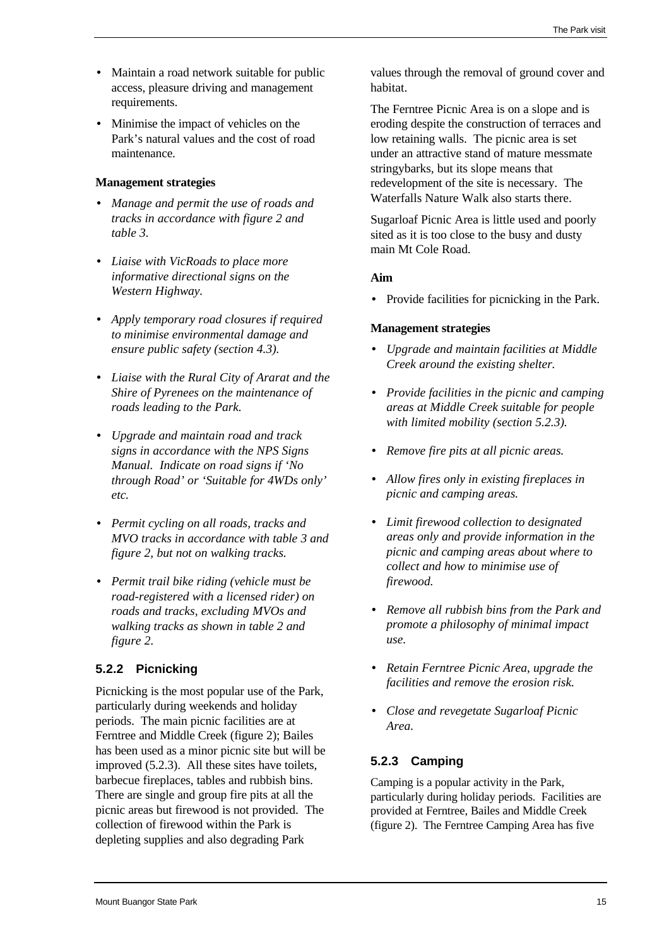- Maintain a road network suitable for public access, pleasure driving and management requirements.
- Minimise the impact of vehicles on the Park's natural values and the cost of road maintenance.

## **Management strategies**

- *Manage and permit the use of roads and tracks in accordance with figure 2 and table 3.*
- *Liaise with VicRoads to place more informative directional signs on the Western Highway.*
- *Apply temporary road closures if required to minimise environmental damage and ensure public safety (section 4.3).*
- <span id="page-23-0"></span>• *Liaise with the Rural City of Ararat and the Shire of Pyrenees on the maintenance of roads leading to the Park.*
- *Upgrade and maintain road and track signs in accordance with the NPS Signs Manual. Indicate on road signs if 'No through Road' or 'Suitable for 4WDs only' etc.*
- *Permit cycling on all roads, tracks and MVO tracks in accordance with table 3 and figure 2, but not on walking tracks.*
- *Permit trail bike riding (vehicle must be road-registered with a licensed rider) on roads and tracks, excluding MVOs and walking tracks as shown in table 2 and figure 2.*

## **5.2.2 Picnicking**

Picnicking is the most popular use of the Park, particularly during weekends and holiday periods. The main picnic facilities are at Ferntree and Middle Creek (figure 2); Bailes has been used as a minor picnic site but will be improved (5.2.3). All these sites have toilets, barbecue fireplaces, tables and rubbish bins. There are single and group fire pits at all the picnic areas but firewood is not provided. The collection of firewood within the Park is depleting supplies and also degrading Park

values through the removal of ground cover and habitat.

The Ferntree Picnic Area is on a slope and is eroding despite the construction of terraces and low retaining walls. The picnic area is set under an attractive stand of mature messmate stringybarks, but its slope means that redevelopment of the site is necessary. The Waterfalls Nature Walk also starts there.

Sugarloaf Picnic Area is little used and poorly sited as it is too close to the busy and dusty main Mt Cole Road.

## **Aim**

• Provide facilities for picnicking in the Park.

## **Management strategies**

- *Upgrade and maintain facilities at Middle Creek around the existing shelter.*
- *Provide facilities in the picnic and camping areas at Middle Creek suitable for people with limited mobility (section 5.2.3).*
- *Remove fire pits at all picnic areas.*
- *Allow fires only in existing fireplaces in picnic and camping areas.*
- *Limit firewood collection to designated areas only and provide information in the picnic and camping areas about where to collect and how to minimise use of firewood.*
- *Remove all rubbish bins from the Park and promote a philosophy of minimal impact use.*
- *Retain Ferntree Picnic Area, upgrade the facilities and remove the erosion risk.*
- *Close and revegetate Sugarloaf Picnic Area.*

## **5.2.3 Camping**

Camping is a popular activity in the Park, particularly during holiday periods. Facilities are provided at Ferntree, Bailes and Middle Creek (figure 2). The Ferntree Camping Area has five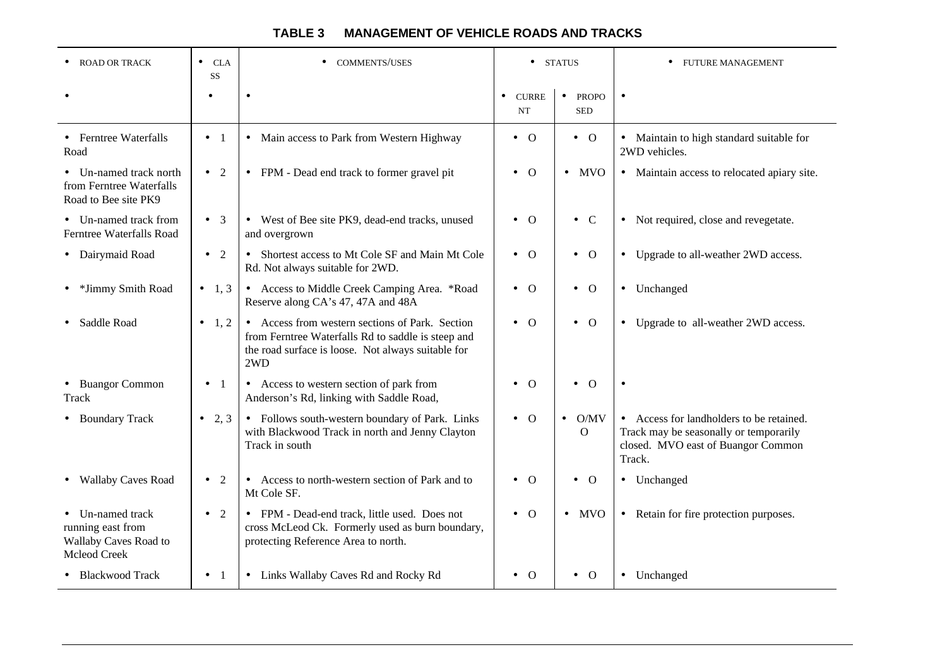<span id="page-24-0"></span>

| <b>ROAD OR TRACK</b>                                                           | <b>CLA</b><br>$\bullet$<br>SS | <b>COMMENTS/USES</b>                                                                                                                                               | <b>STATUS</b><br>$\bullet$             |                                         | <b>FUTURE MANAGEMENT</b>                                                                                                           |
|--------------------------------------------------------------------------------|-------------------------------|--------------------------------------------------------------------------------------------------------------------------------------------------------------------|----------------------------------------|-----------------------------------------|------------------------------------------------------------------------------------------------------------------------------------|
|                                                                                | $\bullet$                     |                                                                                                                                                                    | <b>CURRE</b><br>$\bullet$<br><b>NT</b> | <b>PROPO</b><br>$\bullet$<br><b>SED</b> | $\bullet$                                                                                                                          |
| • Ferntree Waterfalls<br>Road                                                  | $\bullet$ 1                   | • Main access to Park from Western Highway                                                                                                                         | $\bullet$ O                            | $\bullet$ O                             | • Maintain to high standard suitable for<br>2WD vehicles.                                                                          |
| • Un-named track north<br>from Ferntree Waterfalls<br>Road to Bee site PK9     | $\bullet$ 2                   | • FPM - Dead end track to former gravel pit                                                                                                                        | $\overline{O}$<br>$\bullet$            | $\bullet$ MVO                           | • Maintain access to relocated apiary site.                                                                                        |
| • Un-named track from<br>Ferntree Waterfalls Road                              | $\bullet$ 3                   | • West of Bee site PK9, dead-end tracks, unused<br>and overgrown                                                                                                   | $\Omega$<br>$\bullet$                  | $\bullet$ C                             | • Not required, close and revegetate.                                                                                              |
| • Dairymaid Road                                                               | $\bullet$ 2                   | • Shortest access to Mt Cole SF and Main Mt Cole<br>Rd. Not always suitable for 2WD.                                                                               | $\bullet$ O                            | $\bullet$ 0                             | • Upgrade to all-weather 2WD access.                                                                                               |
| • *Jimmy Smith Road                                                            | • 1, 3                        | • Access to Middle Creek Camping Area. *Road<br>Reserve along CA's 47, 47A and 48A                                                                                 | $\bullet$ O                            | $\bullet$ 0                             | • Unchanged                                                                                                                        |
| Saddle Road                                                                    | $-1, 2$                       | • Access from western sections of Park. Section<br>from Ferntree Waterfalls Rd to saddle is steep and<br>the road surface is loose. Not always suitable for<br>2WD | $\bullet$ 0                            | $\bullet$ 0                             | Upgrade to all-weather 2WD access.<br>$\bullet$                                                                                    |
| • Buangor Common<br><b>Track</b>                                               | $\bullet$ 1                   | • Access to western section of park from<br>Anderson's Rd, linking with Saddle Road,                                                                               | $\Omega$<br>$\bullet$                  | $\overline{O}$                          | $\bullet$                                                                                                                          |
| • Boundary Track                                                               | • 2, 3                        | • Follows south-western boundary of Park. Links<br>with Blackwood Track in north and Jenny Clayton<br>Track in south                                               | $\bullet$ O                            | O/MV<br>$\bullet$<br>$\Omega$           | • Access for landholders to be retained.<br>Track may be seasonally or temporarily<br>closed. MVO east of Buangor Common<br>Track. |
| • Wallaby Caves Road                                                           | <sup>2</sup><br>$\bullet$     | • Access to north-western section of Park and to<br>Mt Cole SF.                                                                                                    | $\Omega$<br>$\bullet$                  | $\overline{O}$<br>$\bullet$             | • Unchanged                                                                                                                        |
| • Un-named track<br>running east from<br>Wallaby Caves Road to<br>Mcleod Creek | $\bullet$ 2                   | • FPM - Dead-end track, little used. Does not<br>cross McLeod Ck. Formerly used as burn boundary,<br>protecting Reference Area to north.                           | $\bullet$ 0                            | $\bullet$ MVO                           | • Retain for fire protection purposes.                                                                                             |
| • Blackwood Track                                                              | $\bullet$ 1                   | • Links Wallaby Caves Rd and Rocky Rd                                                                                                                              | - 0                                    | $\Omega$                                | • Unchanged                                                                                                                        |

## **TABLE 3 MANAGEMENT OF VEHICLE ROADS AND TRACKS**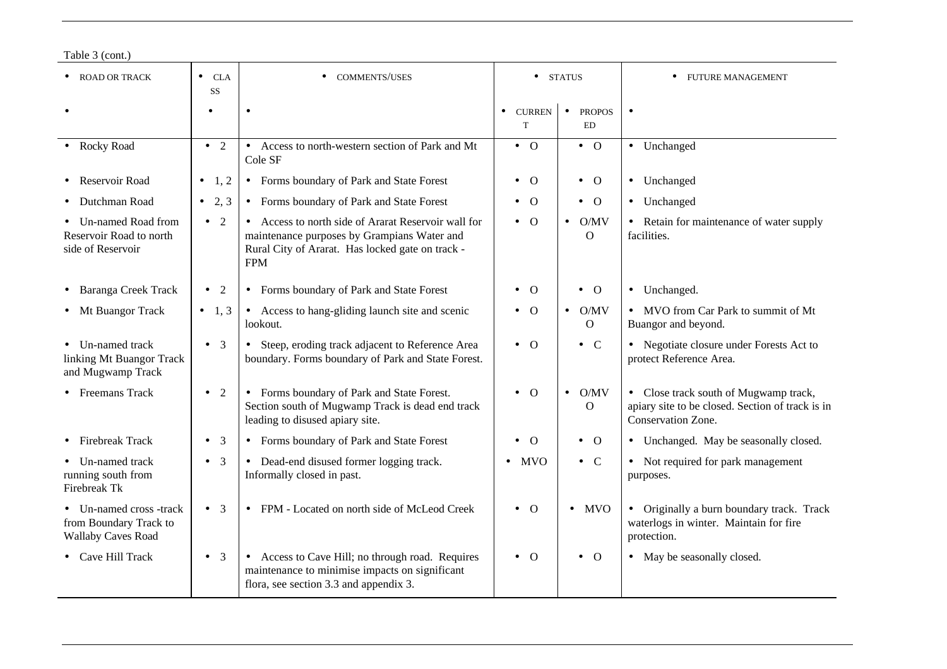| Table 3 (cont.) |  |
|-----------------|--|
|-----------------|--|

| <b>ROAD OR TRACK</b>                                                         | CLA<br>$\bullet$<br><b>SS</b> | <b>COMMENTS/USES</b>                                                                                                                                                 |                                 | <b>STATUS</b>                           | <b>FUTURE MANAGEMENT</b>                                                                                        |
|------------------------------------------------------------------------------|-------------------------------|----------------------------------------------------------------------------------------------------------------------------------------------------------------------|---------------------------------|-----------------------------------------|-----------------------------------------------------------------------------------------------------------------|
|                                                                              | $\bullet$                     |                                                                                                                                                                      | <b>CURREN</b><br>$\bullet$<br>T | <b>PROPOS</b><br>$\bullet$<br><b>ED</b> | $\bullet$                                                                                                       |
| • Rocky Road                                                                 | $\bullet$ 2                   | Access to north-western section of Park and Mt<br>$\bullet$<br>Cole SF                                                                                               | $\bullet$ 0                     | $\bullet$ 0                             | • Unchanged                                                                                                     |
| Reservoir Road                                                               | • 1, 2                        | • Forms boundary of Park and State Forest                                                                                                                            | $\Omega$<br>$\bullet$           | $\bullet$ 0                             | • Unchanged                                                                                                     |
| Dutchman Road                                                                | • 2, 3                        | Forms boundary of Park and State Forest<br>$\bullet$                                                                                                                 | $\Omega$<br>$\bullet$           | $\bullet$ 0                             | • Unchanged                                                                                                     |
| Un-named Road from<br>Reservoir Road to north<br>side of Reservoir           | $\overline{2}$<br>$\bullet$   | • Access to north side of Ararat Reservoir wall for<br>maintenance purposes by Grampians Water and<br>Rural City of Ararat. Has locked gate on track -<br><b>FPM</b> | $\Omega$                        | $\bullet$ O/MV<br>$\Omega$              | • Retain for maintenance of water supply<br>facilities.                                                         |
| • Baranga Creek Track                                                        | 2<br>$\bullet$                | Forms boundary of Park and State Forest<br>$\bullet$                                                                                                                 | $\Omega$<br>$\bullet$           | $\bullet$ O                             | • Unchanged.                                                                                                    |
| • Mt Buangor Track                                                           | • 1,3                         | • Access to hang-gliding launch site and scenic<br>lookout.                                                                                                          | $\overline{0}$<br>$\bullet$     | O/MV<br>$\bullet$<br>$\mathbf{O}$       | • MVO from Car Park to summit of Mt<br>Buangor and beyond.                                                      |
| • Un-named track<br>linking Mt Buangor Track<br>and Mugwamp Track            | $\bullet$ 3                   | Steep, eroding track adjacent to Reference Area<br>$\bullet$<br>boundary. Forms boundary of Park and State Forest.                                                   | $\bullet$ 0                     | $\bullet$ C                             | • Negotiate closure under Forests Act to<br>protect Reference Area.                                             |
| • Freemans Track                                                             | $\bullet$ 2                   | • Forms boundary of Park and State Forest.<br>Section south of Mugwamp Track is dead end track<br>leading to disused apiary site.                                    | $\Omega$<br>$\bullet$           | $\bullet$ O/MV<br>$\Omega$              | • Close track south of Mugwamp track,<br>apiary site to be closed. Section of track is in<br>Conservation Zone. |
| <b>Firebreak Track</b>                                                       | $\overline{3}$<br>$\bullet$   | • Forms boundary of Park and State Forest                                                                                                                            | $\Omega$                        | $\bullet$ O                             | • Unchanged. May be seasonally closed.                                                                          |
| • Un-named track<br>running south from<br>Firebreak Tk                       | $\bullet$ 3                   | Dead-end disused former logging track.<br>$\bullet$<br>Informally closed in past.                                                                                    | <b>MVO</b>                      | $\bullet$ C                             | • Not required for park management<br>purposes.                                                                 |
| Un-named cross -track<br>from Boundary Track to<br><b>Wallaby Caves Road</b> | $\bullet$ 3                   | FPM - Located on north side of McLeod Creek<br>$\bullet$                                                                                                             | $\bullet$ 0                     | <b>MVO</b><br>$\bullet$                 | • Originally a burn boundary track. Track<br>waterlogs in winter. Maintain for fire<br>protection.              |
| • Cave Hill Track                                                            | $\bullet$ 3                   | • Access to Cave Hill; no through road. Requires<br>maintenance to minimise impacts on significant<br>flora, see section 3.3 and appendix 3.                         | $\bullet$ 0                     | $\bullet$ 0                             | • May be seasonally closed.                                                                                     |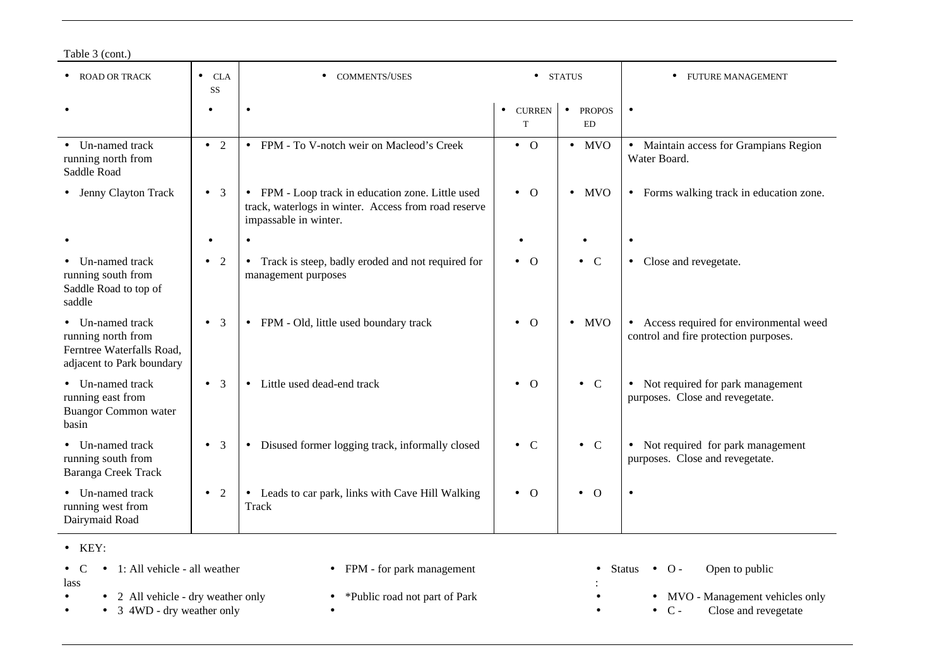| Table 3 (cont.) |  |
|-----------------|--|
|-----------------|--|

| <b>ROAD OR TRACK</b>                                                                           | <b>CLA</b><br>$\bullet$<br><b>SS</b> | <b>COMMENTS/USES</b><br>$\bullet$                                                                                                  |                                 | <b>STATUS</b>                           | <b>FUTURE MANAGEMENT</b><br>$\bullet$                                             |
|------------------------------------------------------------------------------------------------|--------------------------------------|------------------------------------------------------------------------------------------------------------------------------------|---------------------------------|-----------------------------------------|-----------------------------------------------------------------------------------|
|                                                                                                | $\bullet$                            |                                                                                                                                    | <b>CURREN</b><br>$\bullet$<br>T | <b>PROPOS</b><br>$\bullet$<br><b>ED</b> | $\bullet$                                                                         |
| • Un-named track<br>running north from<br>Saddle Road                                          | $\bullet$ 2                          | • FPM - To V-notch weir on Macleod's Creek                                                                                         | $\bullet$ O                     | $\bullet$ MVO                           | • Maintain access for Grampians Region<br>Water Board.                            |
| • Jenny Clayton Track                                                                          | $\bullet$ 3                          | • FPM - Loop track in education zone. Little used<br>track, waterlogs in winter. Access from road reserve<br>impassable in winter. | $\bullet$ 0                     | <b>MVO</b><br>$\bullet$                 | • Forms walking track in education zone.                                          |
|                                                                                                | $\bullet$                            | $\bullet$                                                                                                                          |                                 |                                         | ٠                                                                                 |
| Un-named track<br>running south from<br>Saddle Road to top of<br>saddle                        | 2<br>$\bullet$                       | • Track is steep, badly eroded and not required for<br>management purposes                                                         | $\bullet$ 0                     | $\bullet$ C                             | • Close and revegetate.                                                           |
| Un-named track<br>running north from<br>Ferntree Waterfalls Road,<br>adjacent to Park boundary | 3<br>$\bullet$                       | FPM - Old, little used boundary track<br>$\bullet$                                                                                 | $\Omega$<br>$\bullet$           | <b>MVO</b><br>$\bullet$                 | • Access required for environmental weed<br>control and fire protection purposes. |
| Un-named track<br>running east from<br><b>Buangor Common water</b><br>basin                    | $\overline{3}$<br>$\bullet$          | Little used dead-end track<br>$\bullet$                                                                                            | $\bullet$ 0                     | $\bullet$ C                             | • Not required for park management<br>purposes. Close and revegetate.             |
| Un-named track<br>running south from<br>Baranga Creek Track                                    | $\overline{3}$<br>$\bullet$          | Disused former logging track, informally closed<br>$\bullet$                                                                       | $\bullet$ C                     | $\bullet$ C                             | • Not required for park management<br>purposes. Close and revegetate.             |
| • Un-named track<br>running west from<br>Dairymaid Road                                        | $\bullet$ 2                          | Leads to car park, links with Cave Hill Walking<br>$\bullet$<br><b>Track</b>                                                       | $\bullet$ O                     | $\bullet$ O                             |                                                                                   |

• KEY:

|      | • $\bullet$ $\bullet$ 1: All vehicle - all weather | • FPM - for park management   | Status $\bullet$ O -<br>Open to public |
|------|----------------------------------------------------|-------------------------------|----------------------------------------|
| lass |                                                    |                               |                                        |
|      | • 2 All vehicle - dry weather only                 | *Public road not part of Park | • MVO - Management vehicles only       |
|      | • $3 \, 4WD$ - dry weather only                    |                               | Close and revegetate                   |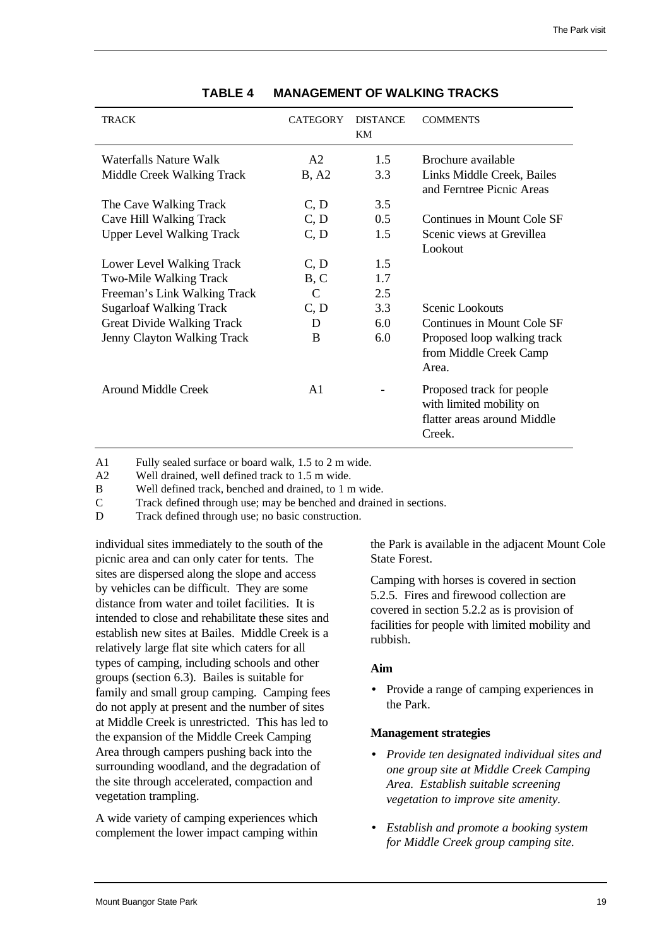<span id="page-27-0"></span>

| TRACK                            | <b>CATEGORY</b>             | <b>DISTANCE</b><br>KM | <b>COMMENTS</b>                                                                                |
|----------------------------------|-----------------------------|-----------------------|------------------------------------------------------------------------------------------------|
| Waterfalls Nature Walk           | A2                          | 1.5                   | Brochure available                                                                             |
| Middle Creek Walking Track       | B, A2                       | 3.3                   | Links Middle Creek, Bailes<br>and Ferntree Picnic Areas                                        |
| The Cave Walking Track           | C, D                        | $3.5^{\circ}$         |                                                                                                |
| Cave Hill Walking Track          | C, D                        | 0.5                   | Continues in Mount Cole SF                                                                     |
| <b>Upper Level Walking Track</b> | C, D                        | 1.5                   | Scenic views at Grevillea                                                                      |
|                                  |                             |                       | Lookout                                                                                        |
| Lower Level Walking Track        | C, D                        | 1.5                   |                                                                                                |
| <b>Two-Mile Walking Track</b>    | B, C                        | 1.7                   |                                                                                                |
| Freeman's Link Walking Track     | $\mathcal{C}_{\mathcal{C}}$ | 2.5                   |                                                                                                |
| <b>Sugarloaf Walking Track</b>   | C, D                        | 3.3                   | Scenic Lookouts                                                                                |
| Great Divide Walking Track       | D                           | $6.0^{\circ}$         | Continues in Mount Cole SF                                                                     |
| Jenny Clayton Walking Track      | B                           | 6.0                   | Proposed loop walking track                                                                    |
|                                  |                             |                       | from Middle Creek Camp<br>Area.                                                                |
| Around Middle Creek              | A <sub>1</sub>              |                       | Proposed track for people<br>with limited mobility on<br>flatter areas around Middle<br>Creek. |

#### **TABLE 4 MANAGEMENT OF WALKING TRACKS**

A1 Fully sealed surface or board walk, 1.5 to 2 m wide.

A2 Well drained, well defined track to 1.5 m wide.

B Well defined track, benched and drained, to 1 m wide.

C Track defined through use; may be benched and drained in sections.

D Track defined through use; no basic construction.

individual sites immediately to the south of the picnic area and can only cater for tents. The sites are dispersed along the slope and access by vehicles can be difficult. They are some distance from water and toilet facilities. It is intended to close and rehabilitate these sites and establish new sites at Bailes. Middle Creek is a relatively large flat site which caters for all types of camping, including schools and other groups (section 6.3). Bailes is suitable for family and small group camping. Camping fees do not apply at present and the number of sites at Middle Creek is unrestricted. This has led to the expansion of the Middle Creek Camping Area through campers pushing back into the surrounding woodland, and the degradation of the site through accelerated, compaction and vegetation trampling.

A wide variety of camping experiences which complement the lower impact camping within the Park is available in the adjacent Mount Cole State Forest.

Camping with horses is covered in section 5.2.5. Fires and firewood collection are covered in section 5.2.2 as is provision of facilities for people with limited mobility and rubbish.

#### **Aim**

• Provide a range of camping experiences in the Park.

- *Provide ten designated individual sites and one group site at Middle Creek Camping Area. Establish suitable screening vegetation to improve site amenity.*
- *Establish and promote a booking system for Middle Creek group camping site.*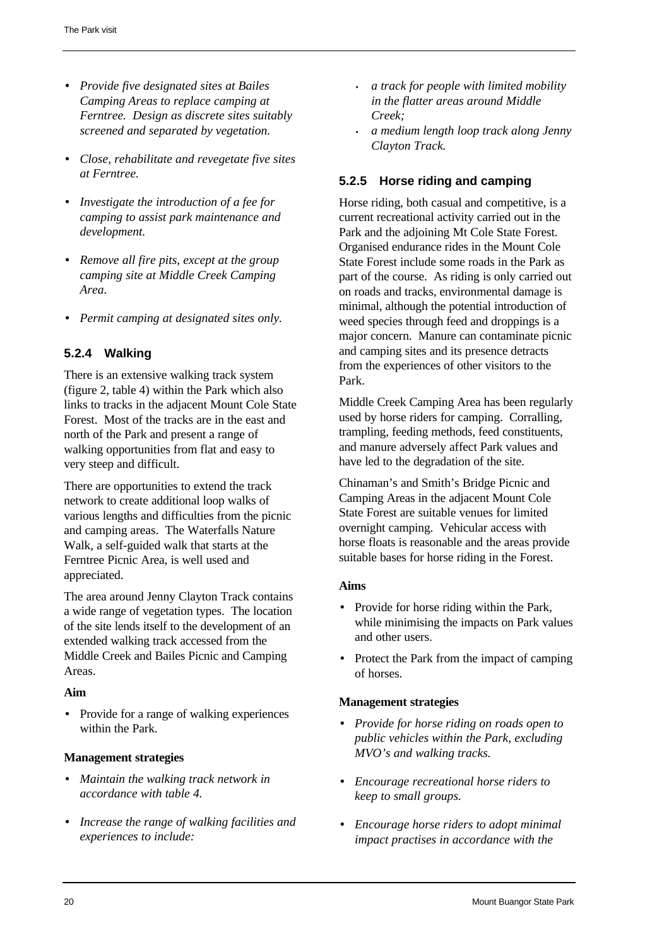- *Provide five designated sites at Bailes Camping Areas to replace camping at Ferntree. Design as discrete sites suitably screened and separated by vegetation.*
- <span id="page-28-1"></span>• *Close, rehabilitate and revegetate five sites at Ferntree.*
- *Investigate the introduction of a fee for camping to assist park maintenance and development.*
- *Remove all fire pits, except at the group camping site at Middle Creek Camping Area.*
- *Permit camping at designated sites only.*

## <span id="page-28-0"></span>**5.2.4 Walking**

There is an extensive walking track system (figure 2, table 4) within the Park which also links to tracks in the adjacent Mount Cole State Forest. Most of the tracks are in the east and north of the Park and present a range of walking opportunities from flat and easy to very steep and difficult.

There are opportunities to extend the track network to create additional loop walks of various lengths and difficulties from the picnic and camping areas. The Waterfalls Nature Walk, a self-guided walk that starts at the Ferntree Picnic Area, is well used and appreciated.

The area around Jenny Clayton Track contains a wide range of vegetation types. The location of the site lends itself to the development of an extended walking track accessed from the Middle Creek and Bailes Picnic and Camping Areas.

#### **Aim**

• Provide for a range of walking experiences within the Park.

#### **Management strategies**

- *Maintain the walking track network in accordance with table 4.*
- *Increase the range of walking facilities and experiences to include:*
- *a track for people with limited mobility in the flatter areas around Middle Creek;*
- *a medium length loop track along Jenny Clayton Track.*

## **5.2.5 Horse riding and camping**

Horse riding, both casual and competitive, is a current recreational activity carried out in the Park and the adjoining Mt Cole State Forest. Organised endurance rides in the Mount Cole State Forest include some roads in the Park as part of the course. As riding is only carried out on roads and tracks, environmental damage is minimal, although the potential introduction of weed species through feed and droppings is a major concern. Manure can contaminate picnic and camping sites and its presence detracts from the experiences of other visitors to the Park.

Middle Creek Camping Area has been regularly used by horse riders for camping. Corralling, trampling, feeding methods, feed constituents, and manure adversely affect Park values and have led to the degradation of the site.

Chinaman's and Smith's Bridge Picnic and Camping Areas in the adjacent Mount Cole State Forest are suitable venues for limited overnight camping. Vehicular access with horse floats is reasonable and the areas provide suitable bases for horse riding in the Forest.

#### **Aims**

- Provide for horse riding within the Park, while minimising the impacts on Park values and other users.
- Protect the Park from the impact of camping of horses.

- *Provide for horse riding on roads open to public vehicles within the Park, excluding MVO's and walking tracks.*
- *Encourage recreational horse riders to keep to small groups.*
- *Encourage horse riders to adopt minimal impact practises in accordance with the*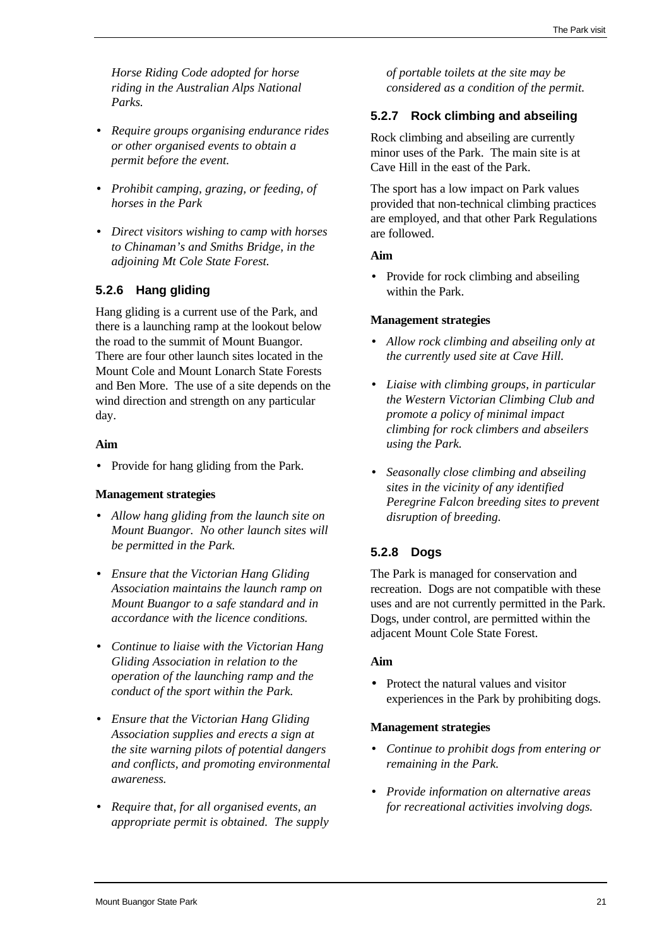*Horse Riding Code adopted for horse riding in the Australian Alps National Parks.*

- <span id="page-29-1"></span>• *Require groups organising endurance rides or other organised events to obtain a permit before the event.*
- *Prohibit camping, grazing, or feeding, of horses in the Park*
- *Direct visitors wishing to camp with horses to Chinaman's and Smiths Bridge, in the adjoining Mt Cole State Forest.*

## <span id="page-29-0"></span>**5.2.6 Hang gliding**

Hang gliding is a current use of the Park, and there is a launching ramp at the lookout below the road to the summit of Mount Buangor. There are four other launch sites located in the Mount Cole and Mount Lonarch State Forests and Ben More. The use of a site depends on the wind direction and strength on any particular day.

## <span id="page-29-2"></span>**Aim**

• Provide for hang gliding from the Park.

## **Management strategies**

- *Allow hang gliding from the launch site on Mount Buangor. No other launch sites will be permitted in the Park.*
- *Ensure that the Victorian Hang Gliding Association maintains the launch ramp on Mount Buangor to a safe standard and in accordance with the licence conditions.*
- *Continue to liaise with the Victorian Hang Gliding Association in relation to the operation of the launching ramp and the conduct of the sport within the Park.*
- *Ensure that the Victorian Hang Gliding Association supplies and erects a sign at the site warning pilots of potential dangers and conflicts, and promoting environmental awareness.*
- *Require that, for all organised events, an appropriate permit is obtained. The supply*

*of portable toilets at the site may be considered as a condition of the permit.*

## **5.2.7 Rock climbing and abseiling**

Rock climbing and abseiling are currently minor uses of the Park. The main site is at Cave Hill in the east of the Park.

The sport has a low impact on Park values provided that non-technical climbing practices are employed, and that other Park Regulations are followed.

## **Aim**

• Provide for rock climbing and abseiling within the Park.

## **Management strategies**

- *Allow rock climbing and abseiling only at the currently used site at Cave Hill.*
- *Liaise with climbing groups, in particular the Western Victorian Climbing Club and promote a policy of minimal impact climbing for rock climbers and abseilers using the Park.*
- *Seasonally close climbing and abseiling sites in the vicinity of any identified Peregrine Falcon breeding sites to prevent disruption of breeding.*

## **5.2.8 Dogs**

The Park is managed for conservation and recreation. Dogs are not compatible with these uses and are not currently permitted in the Park. Dogs, under control, are permitted within the adjacent Mount Cole State Forest.

## **Aim**

• Protect the natural values and visitor experiences in the Park by prohibiting dogs.

- *Continue to prohibit dogs from entering or remaining in the Park.*
- *Provide information on alternative areas for recreational activities involving dogs.*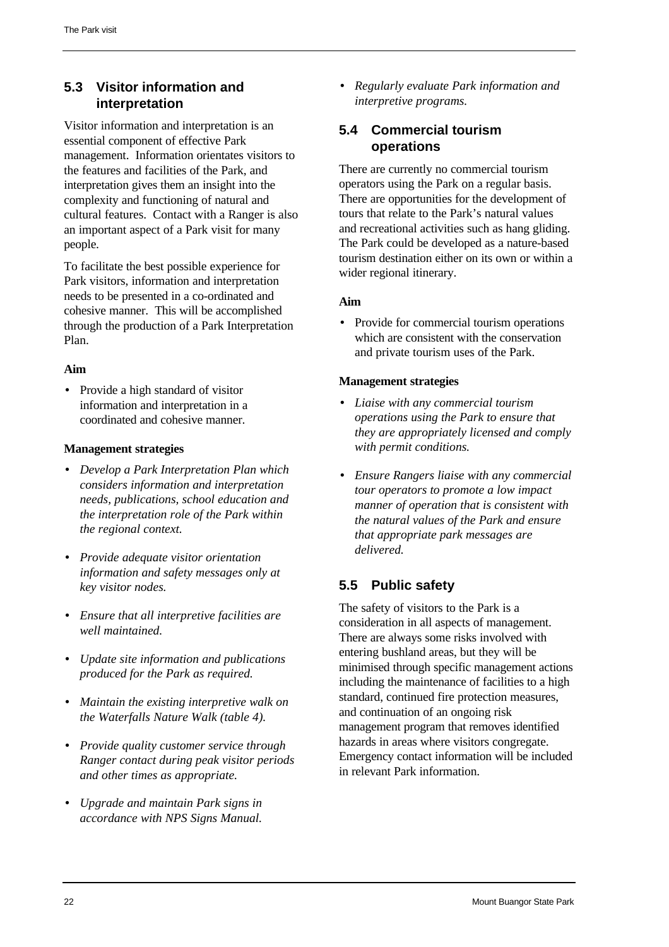## <span id="page-30-0"></span>**5.3 Visitor information and interpretation**

<span id="page-30-1"></span>Visitor information and interpretation is an essential component of effective Park management. Information orientates visitors to the features and facilities of the Park, and interpretation gives them an insight into the complexity and functioning of natural and cultural features. Contact with a Ranger is also an important aspect of a Park visit for many people.

To facilitate the best possible experience for Park visitors, information and interpretation needs to be presented in a co-ordinated and cohesive manner. This will be accomplished through the production of a Park Interpretation Plan.

## **Aim**

<span id="page-30-2"></span>• Provide a high standard of visitor information and interpretation in a coordinated and cohesive manner.

## **Management strategies**

- *Develop a Park Interpretation Plan which considers information and interpretation needs, publications, school education and the interpretation role of the Park within the regional context.*
- *Provide adequate visitor orientation information and safety messages only at key visitor nodes.*
- *Ensure that all interpretive facilities are well maintained.*
- *Update site information and publications produced for the Park as required.*
- *Maintain the existing interpretive walk on the Waterfalls Nature Walk (table 4).*
- *Provide quality customer service through Ranger contact during peak visitor periods and other times as appropriate.*
- *Upgrade and maintain Park signs in accordance with NPS Signs Manual.*

• *Regularly evaluate Park information and interpretive programs.*

## **5.4 Commercial tourism operations**

There are currently no commercial tourism operators using the Park on a regular basis. There are opportunities for the development of tours that relate to the Park's natural values and recreational activities such as hang gliding. The Park could be developed as a nature-based tourism destination either on its own or within a wider regional itinerary.

#### **Aim**

• Provide for commercial tourism operations which are consistent with the conservation and private tourism uses of the Park.

#### **Management strategies**

- *Liaise with any commercial tourism operations using the Park to ensure that they are appropriately licensed and comply with permit conditions.*
- *Ensure Rangers liaise with any commercial tour operators to promote a low impact manner of operation that is consistent with the natural values of the Park and ensure that appropriate park messages are delivered.*

## **5.5 Public safety**

The safety of visitors to the Park is a consideration in all aspects of management. There are always some risks involved with entering bushland areas, but they will be minimised through specific management actions including the maintenance of facilities to a high standard, continued fire protection measures, and continuation of an ongoing risk management program that removes identified hazards in areas where visitors congregate. Emergency contact information will be included in relevant Park information.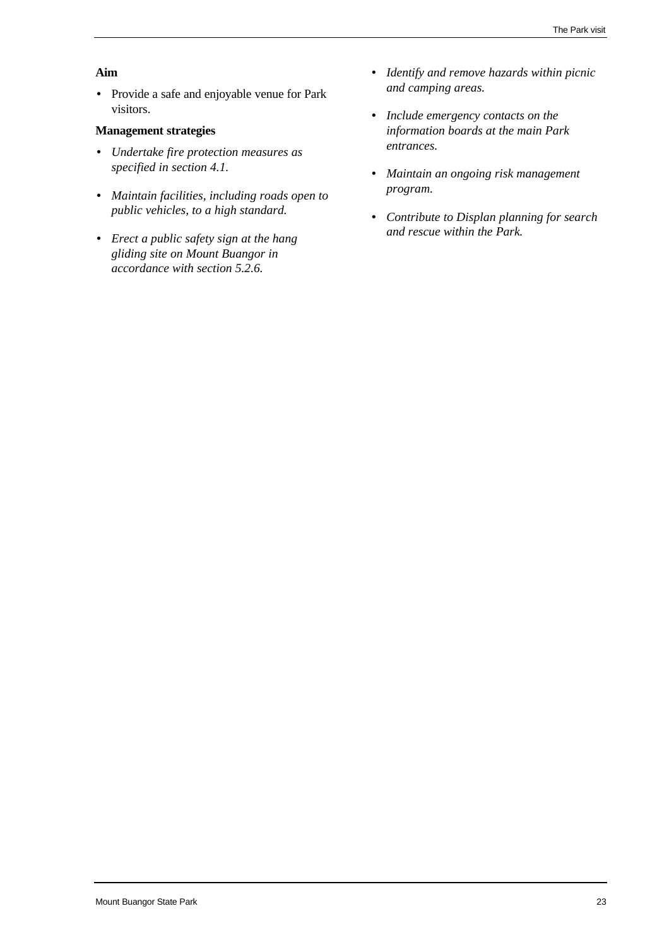### **Aim**

• Provide a safe and enjoyable venue for Park visitors.

- *Undertake fire protection measures as specified in section 4.1.*
- *Maintain facilities, including roads open to public vehicles, to a high standard.*
- *Erect a public safety sign at the hang gliding site on Mount Buangor in accordance with section 5.2.6.*
- *Identify and remove hazards within picnic and camping areas.*
- *Include emergency contacts on the information boards at the main Park entrances.*
- *Maintain an ongoing risk management program.*
- *Contribute to Displan planning for search and rescue within the Park.*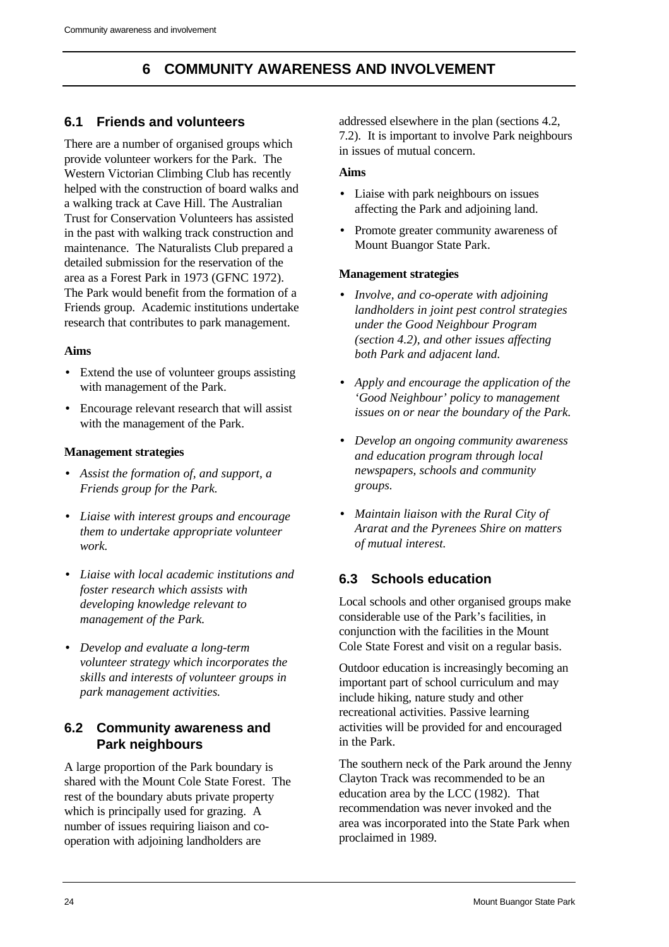# **6 COMMUNITY AWARENESS AND INVOLVEMENT**

## <span id="page-32-1"></span><span id="page-32-0"></span>**6.1 Friends and volunteers**

There are a number of organised groups which provide volunteer workers for the Park. The Western Victorian Climbing Club has recently helped with the construction of board walks and a walking track at Cave Hill. The Australian Trust for Conservation Volunteers has assisted in the past with walking track construction and maintenance. The Naturalists Club prepared a detailed submission for the reservation of the area as a Forest Park in 1973 (GFNC 1972). The Park would benefit from the formation of a Friends group. Academic institutions undertake research that contributes to park management.

## **Aims**

- Extend the use of volunteer groups assisting with management of the Park.
- <span id="page-32-2"></span>• Encourage relevant research that will assist with the management of the Park.

## **Management strategies**

- *Assist the formation of, and support, a Friends group for the Park.*
- *Liaise with interest groups and encourage them to undertake appropriate volunteer work.*
- *Liaise with local academic institutions and foster research which assists with developing knowledge relevant to management of the Park.*
- *Develop and evaluate a long-term volunteer strategy which incorporates the skills and interests of volunteer groups in park management activities.*

## **6.2 Community awareness and Park neighbours**

A large proportion of the Park boundary is shared with the Mount Cole State Forest. The rest of the boundary abuts private property which is principally used for grazing. A number of issues requiring liaison and cooperation with adjoining landholders are

addressed elsewhere in the plan (sections 4.2, 7.2). It is important to involve Park neighbours in issues of mutual concern.

## **Aims**

- Liaise with park neighbours on issues affecting the Park and adjoining land.
- Promote greater community awareness of Mount Buangor State Park.

## **Management strategies**

- *Involve, and co-operate with adjoining landholders in joint pest control strategies under the Good Neighbour Program (section 4.2), and other issues affecting both Park and adjacent land.*
- *Apply and encourage the application of the 'Good Neighbour' policy to management issues on or near the boundary of the Park.*
- *Develop an ongoing community awareness and education program through local newspapers, schools and community groups.*
- *Maintain liaison with the Rural City of Ararat and the Pyrenees Shire on matters of mutual interest.*

# **6.3 Schools education**

Local schools and other organised groups make considerable use of the Park's facilities, in conjunction with the facilities in the Mount Cole State Forest and visit on a regular basis.

Outdoor education is increasingly becoming an important part of school curriculum and may include hiking, nature study and other recreational activities. Passive learning activities will be provided for and encouraged in the Park.

The southern neck of the Park around the Jenny Clayton Track was recommended to be an education area by the LCC (1982). That recommendation was never invoked and the area was incorporated into the State Park when proclaimed in 1989.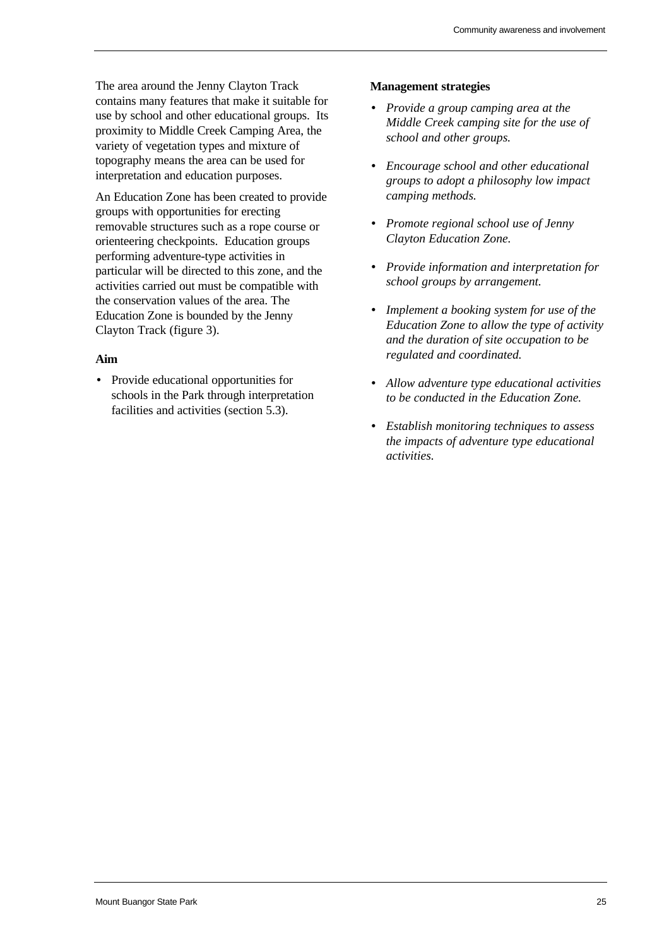The area around the Jenny Clayton Track contains many features that make it suitable for use by school and other educational groups. Its proximity to Middle Creek Camping Area, the variety of vegetation types and mixture of topography means the area can be used for interpretation and education purposes.

An Education Zone has been created to provide groups with opportunities for erecting removable structures such as a rope course or orienteering checkpoints. Education groups performing adventure-type activities in particular will be directed to this zone, and the activities carried out must be compatible with the conservation values of the area. The Education Zone is bounded by the Jenny Clayton Track (figure 3).

#### **Aim**

• Provide educational opportunities for schools in the Park through interpretation facilities and activities (section 5.3).

- *Provide a group camping area at the Middle Creek camping site for the use of school and other groups.*
- *Encourage school and other educational groups to adopt a philosophy low impact camping methods.*
- *Promote regional school use of Jenny Clayton Education Zone.*
- *Provide information and interpretation for school groups by arrangement.*
- *Implement a booking system for use of the Education Zone to allow the type of activity and the duration of site occupation to be regulated and coordinated.*
- *Allow adventure type educational activities to be conducted in the Education Zone.*
- *Establish monitoring techniques to assess the impacts of adventure type educational activities.*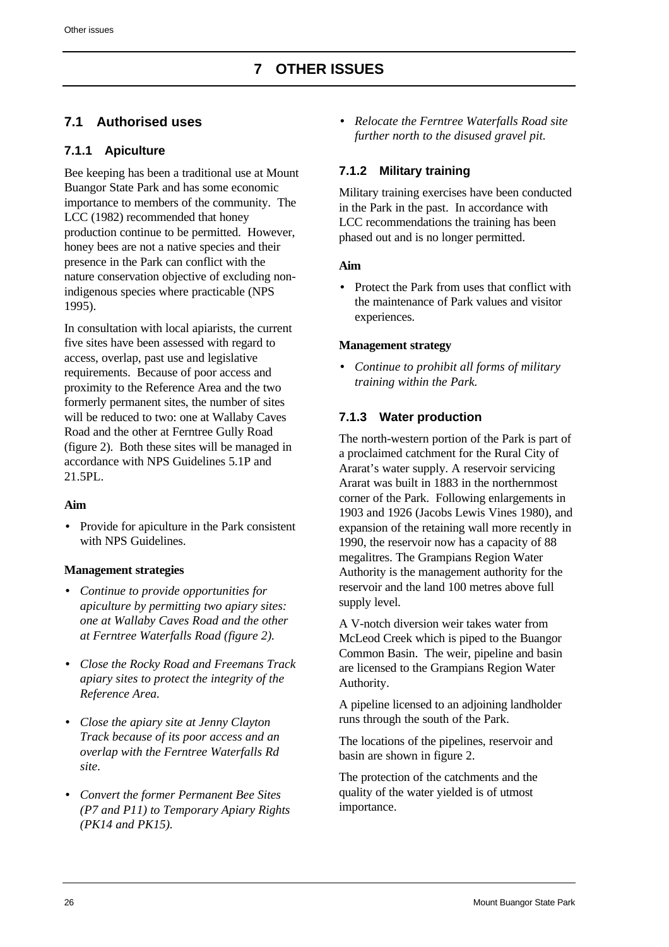# <span id="page-34-1"></span><span id="page-34-0"></span>**7.1 Authorised uses**

## **7.1.1 Apiculture**

Bee keeping has been a traditional use at Mount Buangor State Park and has some economic importance to members of the community. The LCC (1982) recommended that honey production continue to be permitted. However, honey bees are not a native species and their presence in the Park can conflict with the nature conservation objective of excluding nonindigenous species where practicable (NPS 1995).

In consultation with local apiarists, the current five sites have been assessed with regard to access, overlap, past use and legislative requirements. Because of poor access and proximity to the Reference Area and the two formerly permanent sites, the number of sites will be reduced to two: one at Wallaby Caves Road and the other at Ferntree Gully Road (figure 2). Both these sites will be managed in accordance with NPS Guidelines 5.1P and 21.5PL.

## **Aim**

• Provide for apiculture in the Park consistent with NPS Guidelines.

## **Management strategies**

- *Continue to provide opportunities for apiculture by permitting two apiary sites: one at Wallaby Caves Road and the other at Ferntree Waterfalls Road (figure 2).*
- *Close the Rocky Road and Freemans Track apiary sites to protect the integrity of the Reference Area.*
- *Close the apiary site at Jenny Clayton Track because of its poor access and an overlap with the Ferntree Waterfalls Rd site.*
- *Convert the former Permanent Bee Sites (P7 and P11) to Temporary Apiary Rights (PK14 and PK15).*

• *Relocate the Ferntree Waterfalls Road site further north to the disused gravel pit.*

## **7.1.2 Military training**

Military training exercises have been conducted in the Park in the past. In accordance with LCC recommendations the training has been phased out and is no longer permitted.

## **Aim**

• Protect the Park from uses that conflict with the maintenance of Park values and visitor experiences.

## **Management strategy**

• *Continue to prohibit all forms of military training within the Park.*

## **7.1.3 Water production**

The north-western portion of the Park is part of a proclaimed catchment for the Rural City of Ararat's water supply. A reservoir servicing Ararat was built in 1883 in the northernmost corner of the Park. Following enlargements in 1903 and 1926 (Jacobs Lewis Vines 1980), and expansion of the retaining wall more recently in 1990, the reservoir now has a capacity of 88 megalitres. The Grampians Region Water Authority is the management authority for the reservoir and the land 100 metres above full supply level.

A V-notch diversion weir takes water from McLeod Creek which is piped to the Buangor Common Basin. The weir, pipeline and basin are licensed to the Grampians Region Water Authority.

A pipeline licensed to an adjoining landholder runs through the south of the Park.

The locations of the pipelines, reservoir and basin are shown in figure 2.

The protection of the catchments and the quality of the water yielded is of utmost importance.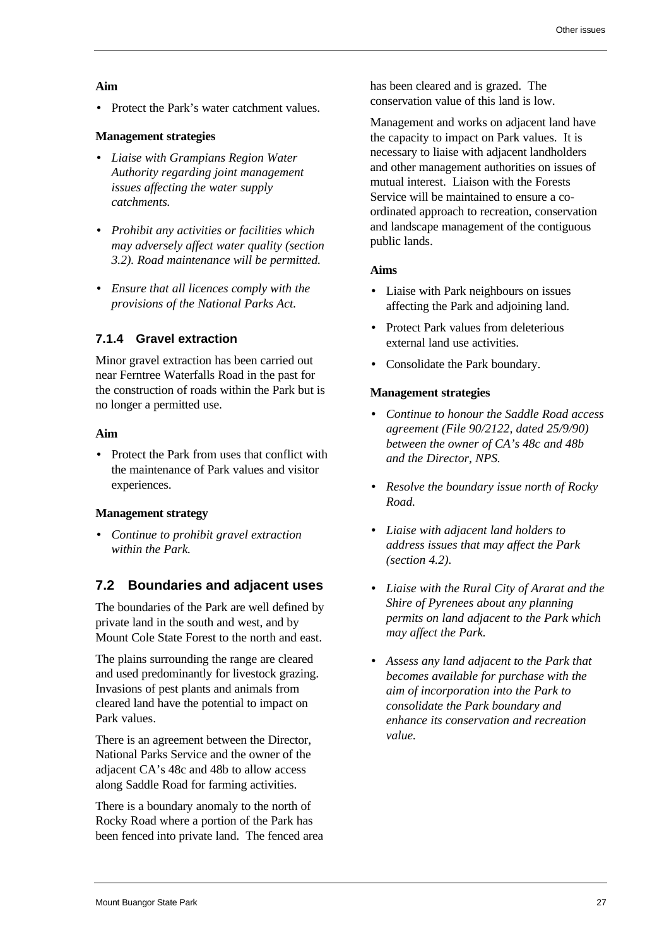#### **Aim**

• Protect the Park's water catchment values.

### **Management strategies**

- *Liaise with Grampians Region Water Authority regarding joint management issues affecting the water supply catchments.*
- *Prohibit any activities or facilities which may adversely affect water quality (section 3.2). Road maintenance will be permitted.*
- *Ensure that all licences comply with the provisions of the National Parks Act.*

## **7.1.4 Gravel extraction**

<span id="page-35-0"></span>Minor gravel extraction has been carried out near Ferntree Waterfalls Road in the past for the construction of roads within the Park but is no longer a permitted use.

## **Aim**

• Protect the Park from uses that conflict with the maintenance of Park values and visitor experiences.

## **Management strategy**

• *Continue to prohibit gravel extraction within the Park.*

## **7.2 Boundaries and adjacent uses**

The boundaries of the Park are well defined by private land in the south and west, and by Mount Cole State Forest to the north and east.

The plains surrounding the range are cleared and used predominantly for livestock grazing. Invasions of pest plants and animals from cleared land have the potential to impact on Park values.

There is an agreement between the Director, National Parks Service and the owner of the adjacent CA's 48c and 48b to allow access along Saddle Road for farming activities.

There is a boundary anomaly to the north of Rocky Road where a portion of the Park has been fenced into private land. The fenced area has been cleared and is grazed. The conservation value of this land is low.

Management and works on adjacent land have the capacity to impact on Park values. It is necessary to liaise with adjacent landholders and other management authorities on issues of mutual interest. Liaison with the Forests Service will be maintained to ensure a coordinated approach to recreation, conservation and landscape management of the contiguous public lands.

#### **Aims**

- Liaise with Park neighbours on issues affecting the Park and adjoining land.
- Protect Park values from deleterious external land use activities.
- Consolidate the Park boundary.

- *Continue to honour the Saddle Road access agreement (File 90/2122, dated 25/9/90) between the owner of CA's 48c and 48b and the Director, NPS.*
- *Resolve the boundary issue north of Rocky Road.*
- *Liaise with adjacent land holders to address issues that may affect the Park (section 4.2).*
- *Liaise with the Rural City of Ararat and the Shire of Pyrenees about any planning permits on land adjacent to the Park which may affect the Park.*
- *Assess any land adjacent to the Park that becomes available for purchase with the aim of incorporation into the Park to consolidate the Park boundary and enhance its conservation and recreation value.*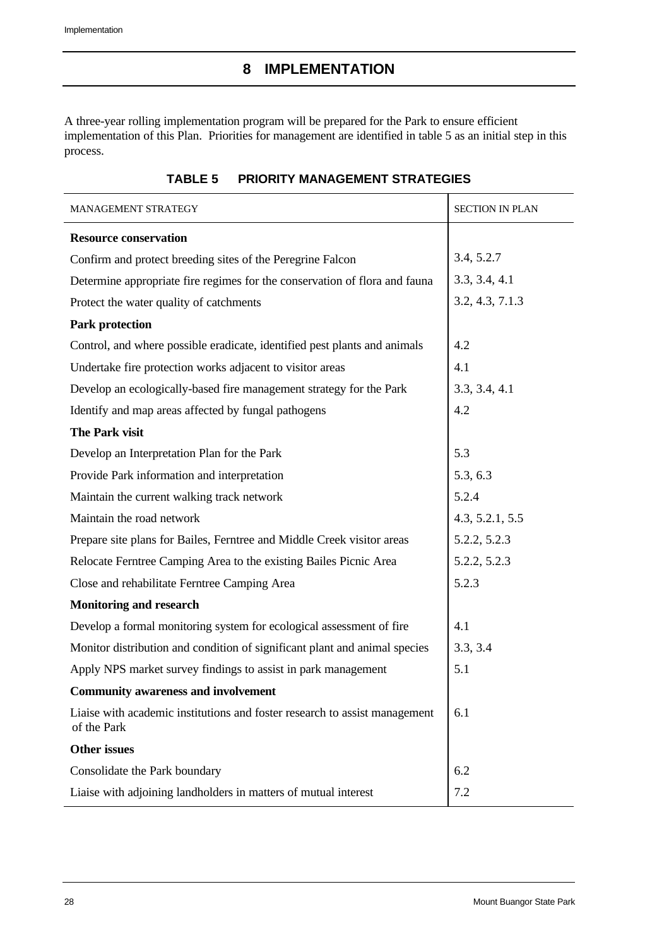<span id="page-36-0"></span>A three-year rolling implementation program will be prepared for the Park to ensure efficient implementation of this Plan. Priorities for management are identified in table 5 as an initial step in this process.

<span id="page-36-1"></span>

| MANAGEMENT STRATEGY                                                                       | <b>SECTION IN PLAN</b> |  |  |  |
|-------------------------------------------------------------------------------------------|------------------------|--|--|--|
| <b>Resource conservation</b>                                                              |                        |  |  |  |
| Confirm and protect breeding sites of the Peregrine Falcon                                | 3.4, 5.2.7             |  |  |  |
| Determine appropriate fire regimes for the conservation of flora and fauna                | 3.3, 3.4, 4.1          |  |  |  |
| Protect the water quality of catchments                                                   | 3.2, 4.3, 7.1.3        |  |  |  |
| <b>Park protection</b>                                                                    |                        |  |  |  |
| Control, and where possible eradicate, identified pest plants and animals                 | 4.2                    |  |  |  |
| Undertake fire protection works adjacent to visitor areas                                 | 4.1                    |  |  |  |
| Develop an ecologically-based fire management strategy for the Park                       | 3.3, 3.4, 4.1          |  |  |  |
| Identify and map areas affected by fungal pathogens                                       | 4.2                    |  |  |  |
| The Park visit                                                                            |                        |  |  |  |
| Develop an Interpretation Plan for the Park                                               | 5.3                    |  |  |  |
| Provide Park information and interpretation                                               | 5.3, 6.3               |  |  |  |
| Maintain the current walking track network                                                | 5.2.4                  |  |  |  |
| Maintain the road network                                                                 | 4.3, 5.2.1, 5.5        |  |  |  |
| Prepare site plans for Bailes, Ferntree and Middle Creek visitor areas                    | 5.2.2, 5.2.3           |  |  |  |
| Relocate Ferntree Camping Area to the existing Bailes Picnic Area                         | 5.2.2, 5.2.3           |  |  |  |
| Close and rehabilitate Ferntree Camping Area                                              | 5.2.3                  |  |  |  |
| <b>Monitoring and research</b>                                                            |                        |  |  |  |
| Develop a formal monitoring system for ecological assessment of fire                      | 4.1                    |  |  |  |
| Monitor distribution and condition of significant plant and animal species                | 3.3, 3.4               |  |  |  |
| Apply NPS market survey findings to assist in park management                             | 5.1                    |  |  |  |
| <b>Community awareness and involvement</b>                                                |                        |  |  |  |
| Liaise with academic institutions and foster research to assist management<br>of the Park | 6.1                    |  |  |  |
| <b>Other issues</b>                                                                       |                        |  |  |  |
| Consolidate the Park boundary                                                             | 6.2                    |  |  |  |
| Liaise with adjoining landholders in matters of mutual interest                           | 7.2                    |  |  |  |

#### **TABLE 5 PRIORITY MANAGEMENT STRATEGIES**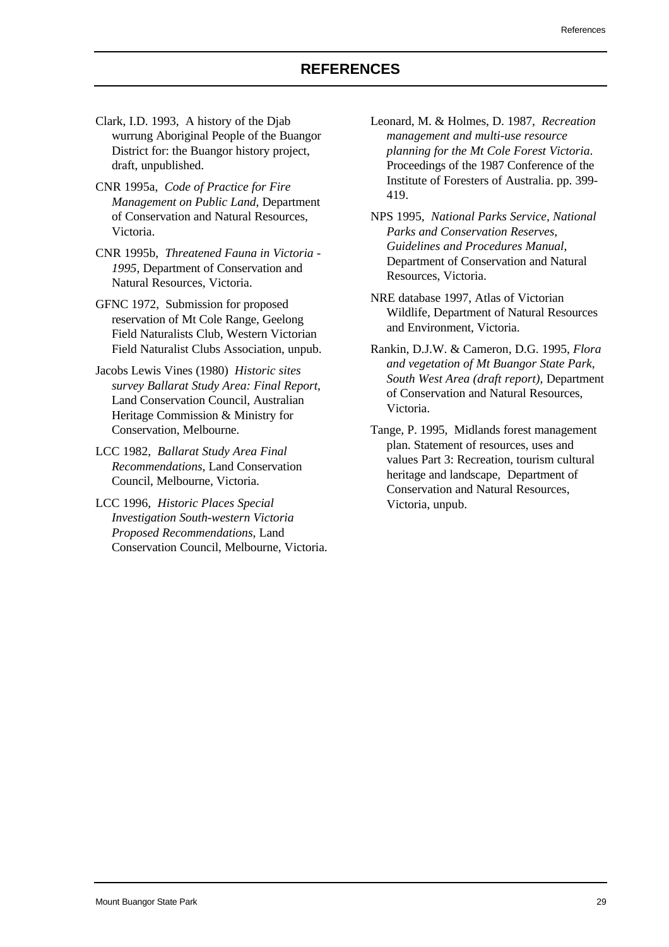- <span id="page-37-0"></span>Clark, I.D. 1993, A history of the Djab wurrung Aboriginal People of the Buangor District for: the Buangor history project, draft, unpublished.
- CNR 1995a, *Code of Practice for Fire Management on Public Land*, Department of Conservation and Natural Resources, Victoria.
- CNR 1995b, *Threatened Fauna in Victoria - 1995,* Department of Conservation and Natural Resources, Victoria.
- GFNC 1972, Submission for proposed reservation of Mt Cole Range, Geelong Field Naturalists Club, Western Victorian Field Naturalist Clubs Association, unpub.
- Jacobs Lewis Vines (1980) *Historic sites survey Ballarat Study Area: Final Report*, Land Conservation Council, Australian Heritage Commission & Ministry for Conservation, Melbourne.
- LCC 1982, *Ballarat Study Area Final Recommendations*, Land Conservation Council, Melbourne, Victoria.
- LCC 1996, *Historic Places Special Investigation South-western Victoria Proposed Recommendations*, Land Conservation Council, Melbourne, Victoria.
- Leonard, M. & Holmes, D. 1987, *Recreation management and multi-use resource planning for the Mt Cole Forest Victoria*. Proceedings of the 1987 Conference of the Institute of Foresters of Australia. pp. 399- 419.
- NPS 1995, *National Parks Service, National Parks and Conservation Reserves, Guidelines and Procedures Manual*, Department of Conservation and Natural Resources, Victoria.
- NRE database 1997, Atlas of Victorian Wildlife, Department of Natural Resources and Environment, Victoria.
- Rankin, D.J.W. & Cameron, D.G. 1995, *Flora and vegetation of Mt Buangor State Park, South West Area (draft report),* Department of Conservation and Natural Resources, Victoria.
- Tange, P. 1995, Midlands forest management plan. Statement of resources, uses and values Part 3: Recreation, tourism cultural heritage and landscape*,* Department of Conservation and Natural Resources, Victoria, unpub.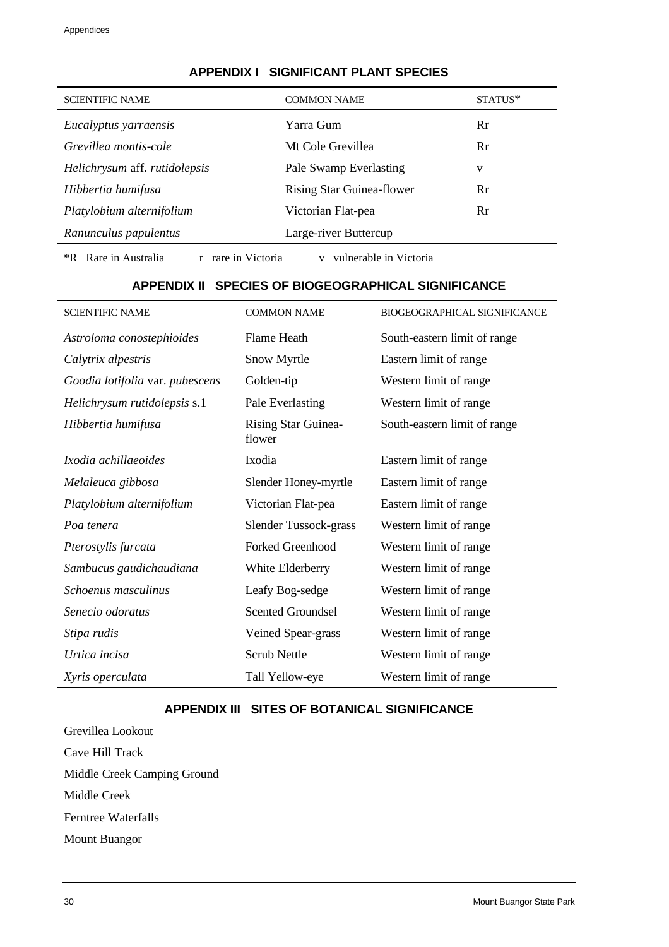<span id="page-38-0"></span>

| <b>SCIENTIFIC NAME</b>                                                                  | <b>COMMON NAME</b>               | STATUS* |  |  |
|-----------------------------------------------------------------------------------------|----------------------------------|---------|--|--|
| Eucalyptus yarraensis                                                                   | Yarra Gum                        | Rr      |  |  |
| Grevillea montis-cole                                                                   | Mt Cole Grevillea                | Rr      |  |  |
| Helichrysum aff. rutidolepsis                                                           | Pale Swamp Everlasting           | v       |  |  |
| Hibbertia humifusa                                                                      | <b>Rising Star Guinea-flower</b> | Rr      |  |  |
| Platylobium alternifolium                                                               | Victorian Flat-pea               | Rr      |  |  |
| Ranunculus papulentus                                                                   | Large-river Buttercup            |         |  |  |
| <i><b>*R</b></i> Rare in Australia<br>r rare in Victoria<br>vulnerable in Victoria<br>V |                                  |         |  |  |

## **APPENDIX I SIGNIFICANT PLANT SPECIES**

#### **APPENDIX II SPECIES OF BIOGEOGRAPHICAL SIGNIFICANCE**

<span id="page-38-2"></span><span id="page-38-1"></span>

| <b>SCIENTIFIC NAME</b>          | <b>COMMON NAME</b>                   | <b>BIOGEOGRAPHICAL SIGNIFICANCE</b> |
|---------------------------------|--------------------------------------|-------------------------------------|
| Astroloma conostephioides       | Flame Heath                          | South-eastern limit of range        |
| Calytrix alpestris              | Snow Myrtle                          | Eastern limit of range              |
| Goodia lotifolia var. pubescens | Golden-tip                           | Western limit of range              |
| Helichrysum rutidolepsis s.1    | Pale Everlasting                     | Western limit of range              |
| Hibbertia humifusa              | <b>Rising Star Guinea-</b><br>flower | South-eastern limit of range        |
| Ixodia achillaeoides            | Ixodia                               | Eastern limit of range              |
| Melaleuca gibbosa               | Slender Honey-myrtle                 | Eastern limit of range              |
| Platylobium alternifolium       | Victorian Flat-pea                   | Eastern limit of range              |
| Poa tenera                      | Slender Tussock-grass                | Western limit of range              |
| Pterostylis furcata             | <b>Forked Greenhood</b>              | Western limit of range              |
| Sambucus gaudichaudiana         | White Elderberry                     | Western limit of range              |
| Schoenus masculinus             | Leafy Bog-sedge                      | Western limit of range              |
| Senecio odoratus                | <b>Scented Groundsel</b>             | Western limit of range              |
| Stipa rudis                     | Veined Spear-grass                   | Western limit of range              |
| Urtica incisa                   | <b>Scrub Nettle</b>                  | Western limit of range              |
| Xyris operculata                | Tall Yellow-eye                      | Western limit of range              |

### **APPENDIX III SITES OF BOTANICAL SIGNIFICANCE**

Grevillea Lookout Cave Hill Track Middle Creek Camping Ground Middle Creek Ferntree Waterfalls Mount Buangor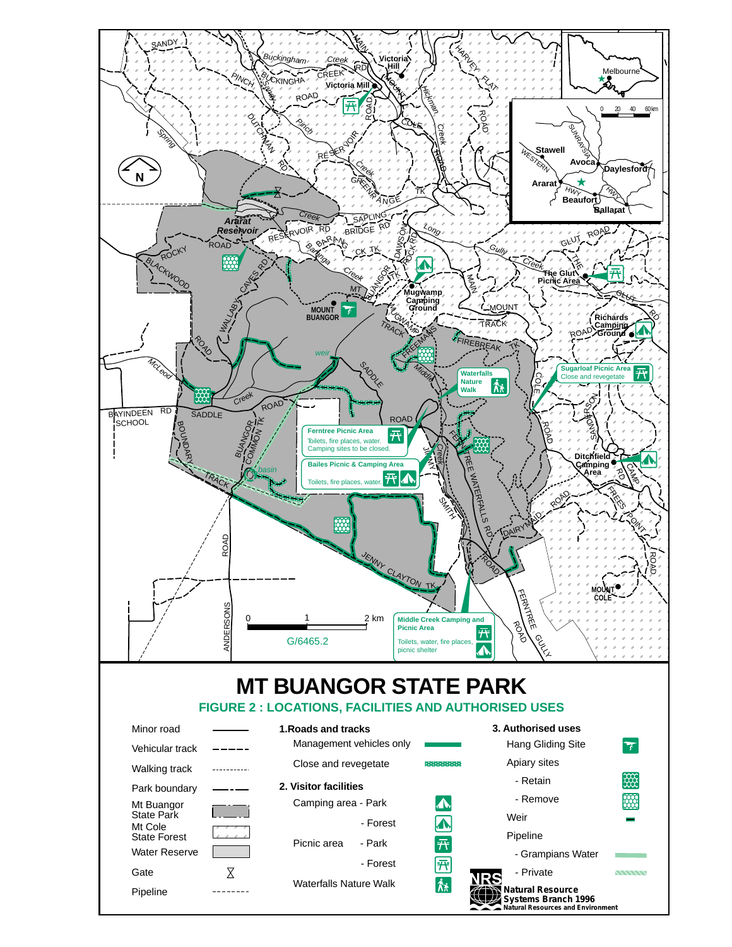<span id="page-39-0"></span>